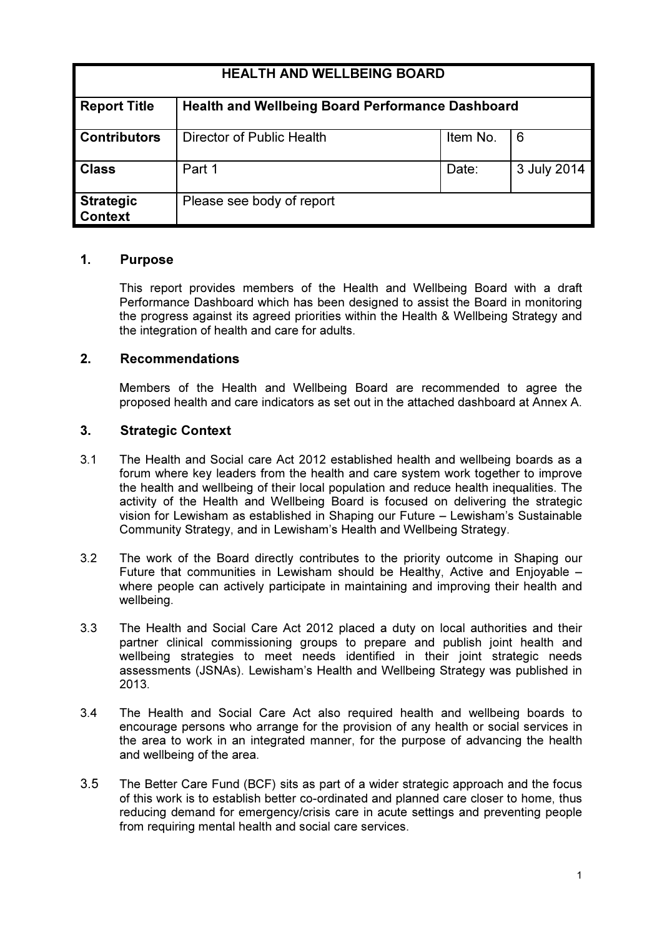| <b>HEALTH AND WELLBEING BOARD</b>  |                                                         |          |             |
|------------------------------------|---------------------------------------------------------|----------|-------------|
| <b>Report Title</b>                | <b>Health and Wellbeing Board Performance Dashboard</b> |          |             |
| <b>Contributors</b>                | Director of Public Health                               | Item No. | 6           |
| <b>Class</b>                       | Part 1                                                  | Date:    | 3 July 2014 |
| <b>Strategic</b><br><b>Context</b> | Please see body of report                               |          |             |

#### 1. Purpose

This report provides members of the Health and Wellbeing Board with a draft Performance Dashboard which has been designed to assist the Board in monitoring the progress against its agreed priorities within the Health & Wellbeing Strategy and the integration of health and care for adults.

#### 2. Recommendations

Members of the Health and Wellbeing Board are recommended to agree the proposed health and care indicators as set out in the attached dashboard at Annex A.

#### 3. Strategic Context

- 3.1 The Health and Social care Act 2012 established health and wellbeing boards as a forum where key leaders from the health and care system work together to improve the health and wellbeing of their local population and reduce health inequalities. The activity of the Health and Wellbeing Board is focused on delivering the strategic vision for Lewisham as established in Shaping our Future – Lewisham's Sustainable Community Strategy, and in Lewisham's Health and Wellbeing Strategy.
- 3.2 The work of the Board directly contributes to the priority outcome in Shaping our Future that communities in Lewisham should be Healthy, Active and Enjoyable – where people can actively participate in maintaining and improving their health and wellbeing.
- 3.3 The Health and Social Care Act 2012 placed a duty on local authorities and their partner clinical commissioning groups to prepare and publish joint health and wellbeing strategies to meet needs identified in their joint strategic needs assessments (JSNAs). Lewisham's Health and Wellbeing Strategy was published in 2013.
- 3.4 The Health and Social Care Act also required health and wellbeing boards to encourage persons who arrange for the provision of any health or social services in the area to work in an integrated manner, for the purpose of advancing the health and wellbeing of the area.
- 3.5 The Better Care Fund (BCF) sits as part of a wider strategic approach and the focus of this work is to establish better co-ordinated and planned care closer to home, thus reducing demand for emergency/crisis care in acute settings and preventing people from requiring mental health and social care services.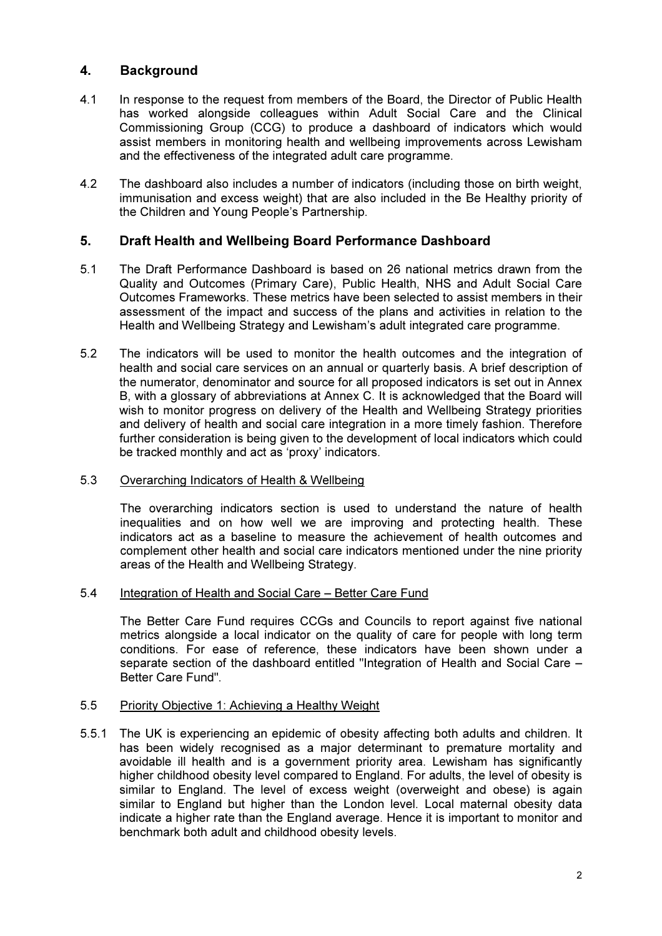### 4. Background

- 4.1 In response to the request from members of the Board, the Director of Public Health has worked alongside colleagues within Adult Social Care and the Clinical Commissioning Group (CCG) to produce a dashboard of indicators which would assist members in monitoring health and wellbeing improvements across Lewisham and the effectiveness of the integrated adult care programme.
- 4.2 The dashboard also includes a number of indicators (including those on birth weight, immunisation and excess weight) that are also included in the Be Healthy priority of the Children and Young People's Partnership.

### 5. Draft Health and Wellbeing Board Performance Dashboard

- 5.1 The Draft Performance Dashboard is based on 26 national metrics drawn from the Quality and Outcomes (Primary Care), Public Health, NHS and Adult Social Care Outcomes Frameworks. These metrics have been selected to assist members in their assessment of the impact and success of the plans and activities in relation to the Health and Wellbeing Strategy and Lewisham's adult integrated care programme.
- 5.2 The indicators will be used to monitor the health outcomes and the integration of health and social care services on an annual or quarterly basis. A brief description of the numerator, denominator and source for all proposed indicators is set out in Annex B, with a glossary of abbreviations at Annex C. It is acknowledged that the Board will wish to monitor progress on delivery of the Health and Wellbeing Strategy priorities and delivery of health and social care integration in a more timely fashion. Therefore further consideration is being given to the development of local indicators which could be tracked monthly and act as 'proxy' indicators.
- 5.3 Overarching Indicators of Health & Wellbeing

The overarching indicators section is used to understand the nature of health inequalities and on how well we are improving and protecting health. These indicators act as a baseline to measure the achievement of health outcomes and complement other health and social care indicators mentioned under the nine priority areas of the Health and Wellbeing Strategy.

5.4 Integration of Health and Social Care – Better Care Fund

The Better Care Fund requires CCGs and Councils to report against five national metrics alongside a local indicator on the quality of care for people with long term conditions. For ease of reference, these indicators have been shown under a separate section of the dashboard entitled "Integration of Health and Social Care – Better Care Fund".

### 5.5 Priority Objective 1: Achieving a Healthy Weight

5.5.1 The UK is experiencing an epidemic of obesity affecting both adults and children. It has been widely recognised as a major determinant to premature mortality and avoidable ill health and is a government priority area. Lewisham has significantly higher childhood obesity level compared to England. For adults, the level of obesity is similar to England. The level of excess weight (overweight and obese) is again similar to England but higher than the London level. Local maternal obesity data indicate a higher rate than the England average. Hence it is important to monitor and benchmark both adult and childhood obesity levels.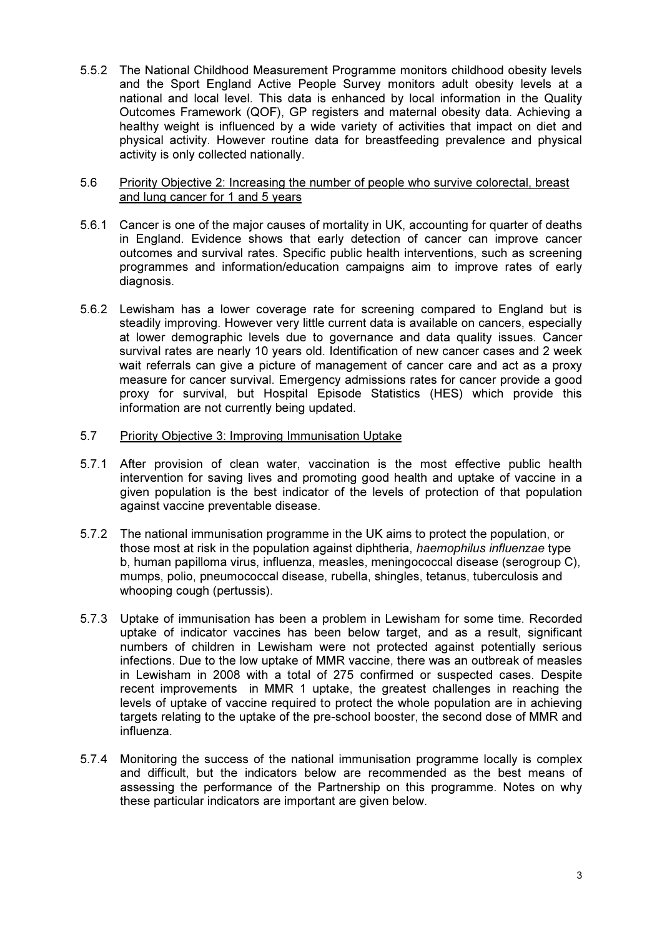5.5.2 The National Childhood Measurement Programme monitors childhood obesity levels and the Sport England Active People Survey monitors adult obesity levels at a national and local level. This data is enhanced by local information in the Quality Outcomes Framework (QOF), GP registers and maternal obesity data. Achieving a healthy weight is influenced by a wide variety of activities that impact on diet and physical activity. However routine data for breastfeeding prevalence and physical activity is only collected nationally.

#### 5.6 Priority Objective 2: Increasing the number of people who survive colorectal, breast and lung cancer for 1 and 5 years

- 5.6.1 Cancer is one of the major causes of mortality in UK, accounting for quarter of deaths in England. Evidence shows that early detection of cancer can improve cancer outcomes and survival rates. Specific public health interventions, such as screening programmes and information/education campaigns aim to improve rates of early diagnosis.
- 5.6.2 Lewisham has a lower coverage rate for screening compared to England but is steadily improving. However very little current data is available on cancers, especially at lower demographic levels due to governance and data quality issues. Cancer survival rates are nearly 10 years old. Identification of new cancer cases and 2 week wait referrals can give a picture of management of cancer care and act as a proxy measure for cancer survival. Emergency admissions rates for cancer provide a good proxy for survival, but Hospital Episode Statistics (HES) which provide this information are not currently being updated.

#### 5.7 Priority Objective 3: Improving Immunisation Uptake

- 5.7.1 After provision of clean water, vaccination is the most effective public health intervention for saving lives and promoting good health and uptake of vaccine in a given population is the best indicator of the levels of protection of that population against vaccine preventable disease.
- 5.7.2 The national immunisation programme in the UK aims to protect the population, or those most at risk in the population against diphtheria, haemophilus influenzae type b, human papilloma virus, influenza, measles, meningococcal disease (serogroup C), mumps, polio, pneumococcal disease, rubella, shingles, tetanus, tuberculosis and whooping cough (pertussis).
- 5.7.3 Uptake of immunisation has been a problem in Lewisham for some time. Recorded uptake of indicator vaccines has been below target, and as a result, significant numbers of children in Lewisham were not protected against potentially serious infections. Due to the low uptake of MMR vaccine, there was an outbreak of measles in Lewisham in 2008 with a total of 275 confirmed or suspected cases. Despite recent improvements in MMR 1 uptake, the greatest challenges in reaching the levels of uptake of vaccine required to protect the whole population are in achieving targets relating to the uptake of the pre-school booster, the second dose of MMR and influenza.
- 5.7.4 Monitoring the success of the national immunisation programme locally is complex and difficult, but the indicators below are recommended as the best means of assessing the performance of the Partnership on this programme. Notes on why these particular indicators are important are given below.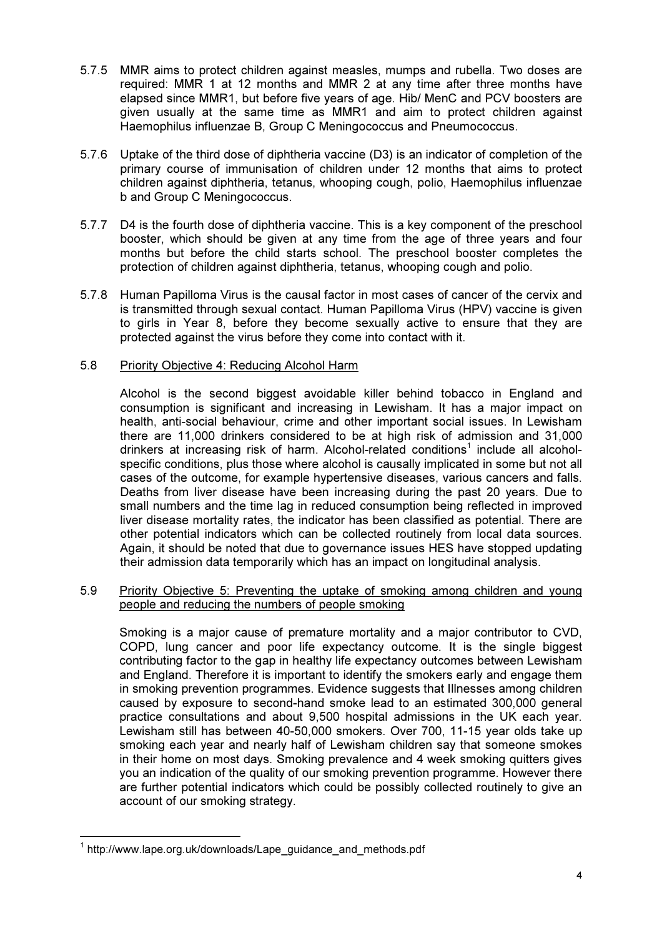- 5.7.5 MMR aims to protect children against measles, mumps and rubella. Two doses are required: MMR 1 at 12 months and MMR 2 at any time after three months have elapsed since MMR1, but before five years of age. Hib/ MenC and PCV boosters are given usually at the same time as MMR1 and aim to protect children against Haemophilus influenzae B, Group C Meningococcus and Pneumococcus.
- 5.7.6 Uptake of the third dose of diphtheria vaccine (D3) is an indicator of completion of the primary course of immunisation of children under 12 months that aims to protect children against diphtheria, tetanus, whooping cough, polio, Haemophilus influenzae b and Group C Meningococcus.
- 5.7.7 D4 is the fourth dose of diphtheria vaccine. This is a key component of the preschool booster, which should be given at any time from the age of three years and four months but before the child starts school. The preschool booster completes the protection of children against diphtheria, tetanus, whooping cough and polio.
- 5.7.8 Human Papilloma Virus is the causal factor in most cases of cancer of the cervix and is transmitted through sexual contact. Human Papilloma Virus (HPV) vaccine is given to girls in Year 8, before they become sexually active to ensure that they are protected against the virus before they come into contact with it.

#### 5.8 Priority Objective 4: Reducing Alcohol Harm

Alcohol is the second biggest avoidable killer behind tobacco in England and consumption is significant and increasing in Lewisham. It has a major impact on health, anti-social behaviour, crime and other important social issues. In Lewisham there are 11,000 drinkers considered to be at high risk of admission and 31,000 drinkers at increasing risk of harm. Alcohol-related conditions<sup>1</sup> include all alcoholspecific conditions, plus those where alcohol is causally implicated in some but not all cases of the outcome, for example hypertensive diseases, various cancers and falls. Deaths from liver disease have been increasing during the past 20 years. Due to small numbers and the time lag in reduced consumption being reflected in improved liver disease mortality rates, the indicator has been classified as potential. There are other potential indicators which can be collected routinely from local data sources. Again, it should be noted that due to governance issues HES have stopped updating their admission data temporarily which has an impact on longitudinal analysis.

#### 5.9 Priority Objective 5: Preventing the uptake of smoking among children and young people and reducing the numbers of people smoking

Smoking is a major cause of premature mortality and a major contributor to CVD, COPD, lung cancer and poor life expectancy outcome. It is the single biggest contributing factor to the gap in healthy life expectancy outcomes between Lewisham and England. Therefore it is important to identify the smokers early and engage them in smoking prevention programmes. Evidence suggests that Illnesses among children caused by exposure to second-hand smoke lead to an estimated 300,000 general practice consultations and about 9,500 hospital admissions in the UK each year. Lewisham still has between 40-50,000 smokers. Over 700, 11-15 year olds take up smoking each year and nearly half of Lewisham children say that someone smokes in their home on most days. Smoking prevalence and 4 week smoking quitters gives you an indication of the quality of our smoking prevention programme. However there are further potential indicators which could be possibly collected routinely to give an account of our smoking strategy.

 $\overline{a}$ 

<sup>&</sup>lt;sup>1</sup> http://www.lape.org.uk/downloads/Lape\_guidance\_and\_methods.pdf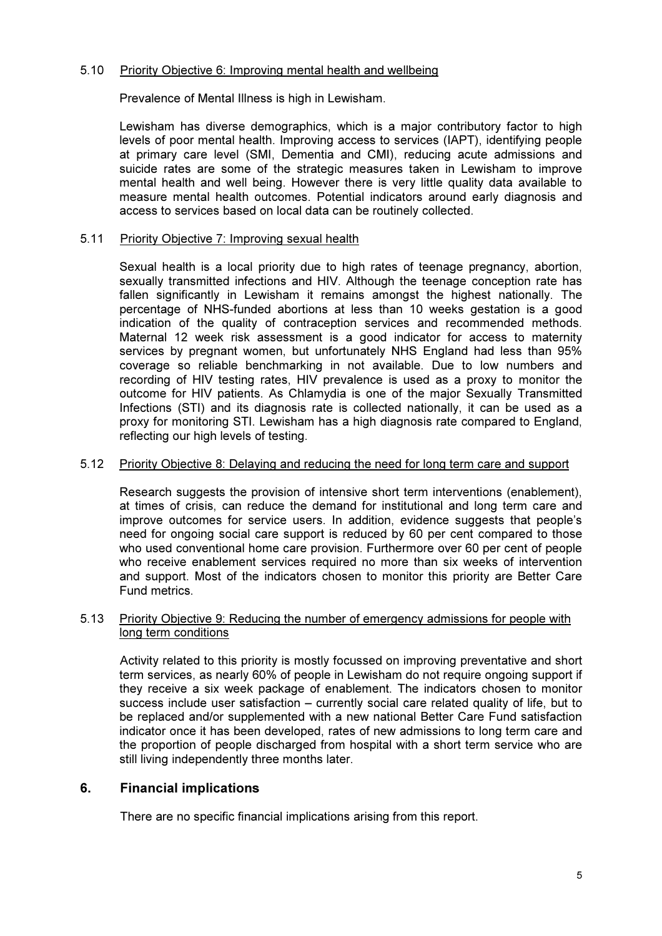#### 5.10 Priority Objective 6: Improving mental health and wellbeing

Prevalence of Mental Illness is high in Lewisham.

Lewisham has diverse demographics, which is a major contributory factor to high levels of poor mental health. Improving access to services (IAPT), identifying people at primary care level (SMI, Dementia and CMI), reducing acute admissions and suicide rates are some of the strategic measures taken in Lewisham to improve mental health and well being. However there is very little quality data available to measure mental health outcomes. Potential indicators around early diagnosis and access to services based on local data can be routinely collected.

#### 5.11 Priority Objective 7: Improving sexual health

Sexual health is a local priority due to high rates of teenage pregnancy, abortion, sexually transmitted infections and HIV. Although the teenage conception rate has fallen significantly in Lewisham it remains amongst the highest nationally. The percentage of NHS-funded abortions at less than 10 weeks gestation is a good indication of the quality of contraception services and recommended methods. Maternal 12 week risk assessment is a good indicator for access to maternity services by pregnant women, but unfortunately NHS England had less than 95% coverage so reliable benchmarking in not available. Due to low numbers and recording of HIV testing rates, HIV prevalence is used as a proxy to monitor the outcome for HIV patients. As Chlamydia is one of the major Sexually Transmitted Infections (STI) and its diagnosis rate is collected nationally, it can be used as a proxy for monitoring STI. Lewisham has a high diagnosis rate compared to England, reflecting our high levels of testing.

#### 5.12 Priority Objective 8: Delaying and reducing the need for long term care and support

Research suggests the provision of intensive short term interventions (enablement), at times of crisis, can reduce the demand for institutional and long term care and improve outcomes for service users. In addition, evidence suggests that people's need for ongoing social care support is reduced by 60 per cent compared to those who used conventional home care provision. Furthermore over 60 per cent of people who receive enablement services required no more than six weeks of intervention and support. Most of the indicators chosen to monitor this priority are Better Care Fund metrics.

#### 5.13 Priority Objective 9: Reducing the number of emergency admissions for people with long term conditions

Activity related to this priority is mostly focussed on improving preventative and short term services, as nearly 60% of people in Lewisham do not require ongoing support if they receive a six week package of enablement. The indicators chosen to monitor success include user satisfaction – currently social care related quality of life, but to be replaced and/or supplemented with a new national Better Care Fund satisfaction indicator once it has been developed, rates of new admissions to long term care and the proportion of people discharged from hospital with a short term service who are still living independently three months later.

#### 6. Financial implications

There are no specific financial implications arising from this report.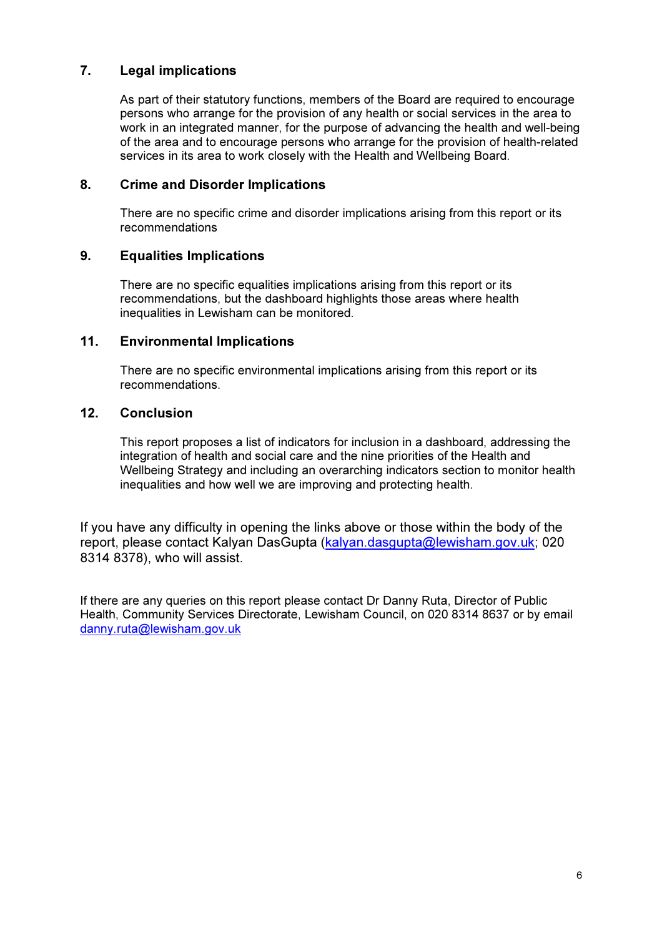## 7. Legal implications

As part of their statutory functions, members of the Board are required to encourage persons who arrange for the provision of any health or social services in the area to work in an integrated manner, for the purpose of advancing the health and well-being of the area and to encourage persons who arrange for the provision of health-related services in its area to work closely with the Health and Wellbeing Board.

#### 8. Crime and Disorder Implications

There are no specific crime and disorder implications arising from this report or its recommendations

#### 9. Equalities Implications

There are no specific equalities implications arising from this report or its recommendations, but the dashboard highlights those areas where health inequalities in Lewisham can be monitored.

#### 11. Environmental Implications

There are no specific environmental implications arising from this report or its recommendations.

#### 12. Conclusion

This report proposes a list of indicators for inclusion in a dashboard, addressing the integration of health and social care and the nine priorities of the Health and Wellbeing Strategy and including an overarching indicators section to monitor health inequalities and how well we are improving and protecting health.

If you have any difficulty in opening the links above or those within the body of the report, please contact Kalyan DasGupta (kalyan.dasgupta@lewisham.gov.uk; 020 8314 8378), who will assist.

If there are any queries on this report please contact Dr Danny Ruta, Director of Public Health, Community Services Directorate, Lewisham Council, on 020 8314 8637 or by email danny.ruta@lewisham.gov.uk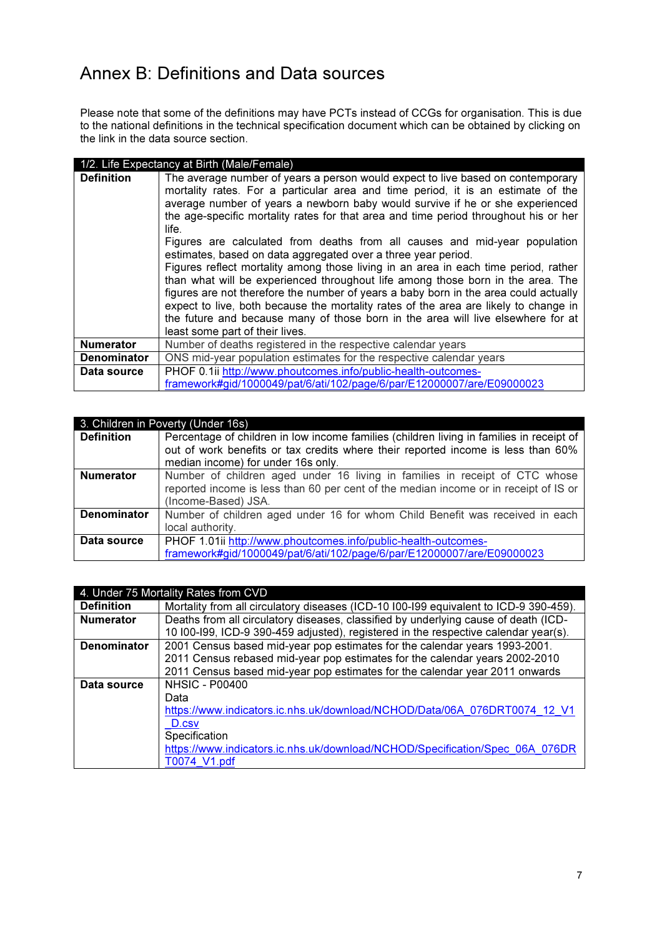# Annex B: Definitions and Data sources

Please note that some of the definitions may have PCTs instead of CCGs for organisation. This is due to the national definitions in the technical specification document which can be obtained by clicking on the link in the data source section.

|                    | 1/2. Life Expectancy at Birth (Male/Female)                                                                                                                                                                                                                                                                                                                                                                                                                                                                                                                                                                                                                                                                                                                                                                                                                                                                                                                                           |
|--------------------|---------------------------------------------------------------------------------------------------------------------------------------------------------------------------------------------------------------------------------------------------------------------------------------------------------------------------------------------------------------------------------------------------------------------------------------------------------------------------------------------------------------------------------------------------------------------------------------------------------------------------------------------------------------------------------------------------------------------------------------------------------------------------------------------------------------------------------------------------------------------------------------------------------------------------------------------------------------------------------------|
| <b>Definition</b>  | The average number of years a person would expect to live based on contemporary<br>mortality rates. For a particular area and time period, it is an estimate of the<br>average number of years a newborn baby would survive if he or she experienced<br>the age-specific mortality rates for that area and time period throughout his or her<br>life.<br>Figures are calculated from deaths from all causes and mid-year population<br>estimates, based on data aggregated over a three year period.<br>Figures reflect mortality among those living in an area in each time period, rather<br>than what will be experienced throughout life among those born in the area. The<br>figures are not therefore the number of years a baby born in the area could actually<br>expect to live, both because the mortality rates of the area are likely to change in<br>the future and because many of those born in the area will live elsewhere for at<br>least some part of their lives. |
| <b>Numerator</b>   | Number of deaths registered in the respective calendar years                                                                                                                                                                                                                                                                                                                                                                                                                                                                                                                                                                                                                                                                                                                                                                                                                                                                                                                          |
| <b>Denominator</b> | ONS mid-year population estimates for the respective calendar years                                                                                                                                                                                                                                                                                                                                                                                                                                                                                                                                                                                                                                                                                                                                                                                                                                                                                                                   |
| Data source        | PHOF 0.1ii http://www.phoutcomes.info/public-health-outcomes-                                                                                                                                                                                                                                                                                                                                                                                                                                                                                                                                                                                                                                                                                                                                                                                                                                                                                                                         |
|                    | framework#gid/1000049/pat/6/ati/102/page/6/par/E12000007/are/E09000023                                                                                                                                                                                                                                                                                                                                                                                                                                                                                                                                                                                                                                                                                                                                                                                                                                                                                                                |

| 3. Children in Poverty (Under 16s) |                                                                                                                                                                                            |
|------------------------------------|--------------------------------------------------------------------------------------------------------------------------------------------------------------------------------------------|
| <b>Definition</b>                  | Percentage of children in low income families (children living in families in receipt of<br>out of work benefits or tax credits where their reported income is less than 60%               |
|                                    | median income) for under 16s only.                                                                                                                                                         |
| <b>Numerator</b>                   | Number of children aged under 16 living in families in receipt of CTC whose<br>reported income is less than 60 per cent of the median income or in receipt of IS or<br>(Income-Based) JSA. |
| <b>Denominator</b>                 | Number of children aged under 16 for whom Child Benefit was received in each<br>local authority.                                                                                           |
| Data source                        | PHOF 1.01ii http://www.phoutcomes.info/public-health-outcomes-<br>framework#gid/1000049/pat/6/ati/102/page/6/par/E12000007/are/E09000023                                                   |

|                    | 4. Under 75 Mortality Rates from CVD                                                  |
|--------------------|---------------------------------------------------------------------------------------|
| <b>Definition</b>  | Mortality from all circulatory diseases (ICD-10 I00-I99 equivalent to ICD-9 390-459). |
| <b>Numerator</b>   | Deaths from all circulatory diseases, classified by underlying cause of death (ICD-   |
|                    | 10 I00-I99, ICD-9 390-459 adjusted), registered in the respective calendar year(s).   |
| <b>Denominator</b> | 2001 Census based mid-year pop estimates for the calendar years 1993-2001.            |
|                    | 2011 Census rebased mid-year pop estimates for the calendar years 2002-2010           |
|                    | 2011 Census based mid-year pop estimates for the calendar year 2011 onwards           |
| Data source        | <b>NHSIC - P00400</b>                                                                 |
|                    | Data                                                                                  |
|                    | https://www.indicators.ic.nhs.uk/download/NCHOD/Data/06A 076DRT0074 12 V1             |
|                    | D.csv                                                                                 |
|                    | Specification                                                                         |
|                    | https://www.indicators.ic.nhs.uk/download/NCHOD/Specification/Spec 06A 076DR          |
|                    | T0074 V1.pdf                                                                          |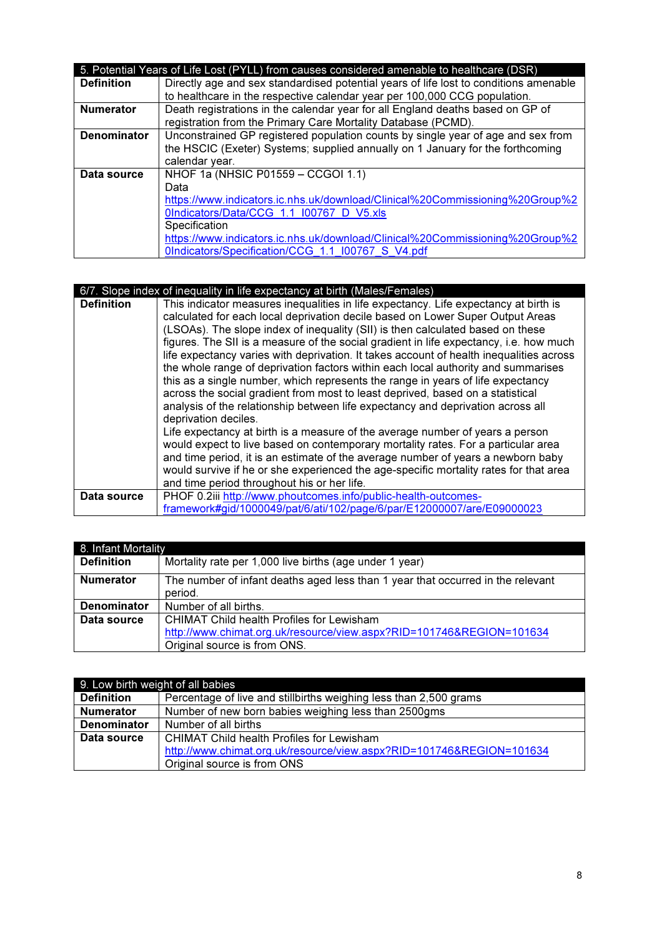|                    | 5. Potential Years of Life Lost (PYLL) from causes considered amenable to healthcare (DSR) |
|--------------------|--------------------------------------------------------------------------------------------|
| <b>Definition</b>  | Directly age and sex standardised potential years of life lost to conditions amenable      |
|                    | to healthcare in the respective calendar year per 100,000 CCG population.                  |
| <b>Numerator</b>   | Death registrations in the calendar year for all England deaths based on GP of             |
|                    | registration from the Primary Care Mortality Database (PCMD).                              |
| <b>Denominator</b> | Unconstrained GP registered population counts by single year of age and sex from           |
|                    | the HSCIC (Exeter) Systems; supplied annually on 1 January for the forthcoming             |
|                    | calendar year.                                                                             |
| Data source        | NHOF 1a (NHSIC P01559 - CCGOI 1.1)                                                         |
|                    | Data                                                                                       |
|                    | https://www.indicators.ic.nhs.uk/download/Clinical%20Commissioning%20Group%2               |
|                    | OIndicators/Data/CCG 1.1 I00767 D V5.xls                                                   |
|                    | Specification                                                                              |
|                    | https://www.indicators.ic.nhs.uk/download/Clinical%20Commissioning%20Group%2               |
|                    | 0Indicators/Specification/CCG 1.1 I00767 S V4.pdf                                          |

|                   | 6/7. Slope index of inequality in life expectancy at birth (Males/Females)                                                                                                                                                                                                                                                                                                                                                                                                                                                                                                                                                                                                                                                                                                                                                                                                                                                                                                                                                                                                                                                                                                                                           |
|-------------------|----------------------------------------------------------------------------------------------------------------------------------------------------------------------------------------------------------------------------------------------------------------------------------------------------------------------------------------------------------------------------------------------------------------------------------------------------------------------------------------------------------------------------------------------------------------------------------------------------------------------------------------------------------------------------------------------------------------------------------------------------------------------------------------------------------------------------------------------------------------------------------------------------------------------------------------------------------------------------------------------------------------------------------------------------------------------------------------------------------------------------------------------------------------------------------------------------------------------|
| <b>Definition</b> | This indicator measures inequalities in life expectancy. Life expectancy at birth is<br>calculated for each local deprivation decile based on Lower Super Output Areas<br>(LSOAs). The slope index of inequality (SII) is then calculated based on these<br>figures. The SII is a measure of the social gradient in life expectancy, i.e. how much<br>life expectancy varies with deprivation. It takes account of health inequalities across<br>the whole range of deprivation factors within each local authority and summarises<br>this as a single number, which represents the range in years of life expectancy<br>across the social gradient from most to least deprived, based on a statistical<br>analysis of the relationship between life expectancy and deprivation across all<br>deprivation deciles.<br>Life expectancy at birth is a measure of the average number of years a person<br>would expect to live based on contemporary mortality rates. For a particular area<br>and time period, it is an estimate of the average number of years a newborn baby<br>would survive if he or she experienced the age-specific mortality rates for that area<br>and time period throughout his or her life. |
| Data source       | PHOF 0.2iii http://www.phoutcomes.info/public-health-outcomes-<br>framework#gid/1000049/pat/6/ati/102/page/6/par/E12000007/are/E09000023                                                                                                                                                                                                                                                                                                                                                                                                                                                                                                                                                                                                                                                                                                                                                                                                                                                                                                                                                                                                                                                                             |
|                   |                                                                                                                                                                                                                                                                                                                                                                                                                                                                                                                                                                                                                                                                                                                                                                                                                                                                                                                                                                                                                                                                                                                                                                                                                      |

| 8. Infant Mortality |                                                                                 |
|---------------------|---------------------------------------------------------------------------------|
| <b>Definition</b>   | Mortality rate per 1,000 live births (age under 1 year)                         |
| <b>Numerator</b>    | The number of infant deaths aged less than 1 year that occurred in the relevant |
|                     | period.                                                                         |
| <b>Denominator</b>  | Number of all births.                                                           |
| Data source         | CHIMAT Child health Profiles for Lewisham                                       |
|                     | http://www.chimat.org.uk/resource/view.aspx?RID=101746&REGION=101634            |
|                     | Original source is from ONS.                                                    |

| 9. Low birth weight of all babies |                                                                      |
|-----------------------------------|----------------------------------------------------------------------|
| <b>Definition</b>                 | Percentage of live and stillbirths weighing less than 2,500 grams    |
| <b>Numerator</b>                  | Number of new born babies weighing less than 2500gms                 |
| <b>Denominator</b>                | Number of all births                                                 |
| Data source                       | <b>CHIMAT Child health Profiles for Lewisham</b>                     |
|                                   | http://www.chimat.org.uk/resource/view.aspx?RID=101746&REGION=101634 |
|                                   | Original source is from ONS                                          |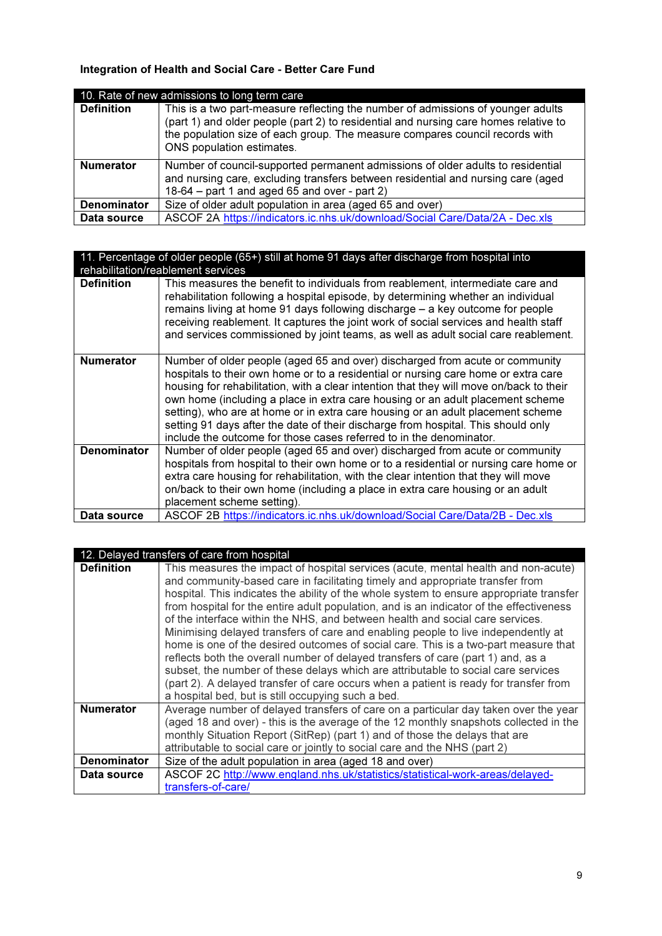# Integration of Health and Social Care - Better Care Fund

|                    | 10. Rate of new admissions to long term care                                                                                                                                                                                                                                          |
|--------------------|---------------------------------------------------------------------------------------------------------------------------------------------------------------------------------------------------------------------------------------------------------------------------------------|
| <b>Definition</b>  | This is a two part-measure reflecting the number of admissions of younger adults<br>(part 1) and older people (part 2) to residential and nursing care homes relative to<br>the population size of each group. The measure compares council records with<br>ONS population estimates. |
| <b>Numerator</b>   | Number of council-supported permanent admissions of older adults to residential<br>and nursing care, excluding transfers between residential and nursing care (aged<br>18-64 – part 1 and aged 65 and over - part 2)                                                                  |
| <b>Denominator</b> | Size of older adult population in area (aged 65 and over)                                                                                                                                                                                                                             |
| Data source        | ASCOF 2A https://indicators.ic.nhs.uk/download/Social Care/Data/2A - Dec.xls                                                                                                                                                                                                          |

| 11. Percentage of older people (65+) still at home 91 days after discharge from hospital into<br>rehabilitation/reablement services |                                                                                                                                                                                                                                                                                                                                                                                                                                                                                                                                                                                                |  |
|-------------------------------------------------------------------------------------------------------------------------------------|------------------------------------------------------------------------------------------------------------------------------------------------------------------------------------------------------------------------------------------------------------------------------------------------------------------------------------------------------------------------------------------------------------------------------------------------------------------------------------------------------------------------------------------------------------------------------------------------|--|
| <b>Definition</b>                                                                                                                   | This measures the benefit to individuals from reablement, intermediate care and<br>rehabilitation following a hospital episode, by determining whether an individual<br>remains living at home 91 days following discharge - a key outcome for people<br>receiving reablement. It captures the joint work of social services and health staff<br>and services commissioned by joint teams, as well as adult social care reablement.                                                                                                                                                            |  |
| <b>Numerator</b>                                                                                                                    | Number of older people (aged 65 and over) discharged from acute or community<br>hospitals to their own home or to a residential or nursing care home or extra care<br>housing for rehabilitation, with a clear intention that they will move on/back to their<br>own home (including a place in extra care housing or an adult placement scheme<br>setting), who are at home or in extra care housing or an adult placement scheme<br>setting 91 days after the date of their discharge from hospital. This should only<br>include the outcome for those cases referred to in the denominator. |  |
| <b>Denominator</b>                                                                                                                  | Number of older people (aged 65 and over) discharged from acute or community<br>hospitals from hospital to their own home or to a residential or nursing care home or<br>extra care housing for rehabilitation, with the clear intention that they will move<br>on/back to their own home (including a place in extra care housing or an adult<br>placement scheme setting).                                                                                                                                                                                                                   |  |
| Data source                                                                                                                         | ASCOF 2B https://indicators.ic.nhs.uk/download/Social Care/Data/2B - Dec.xls                                                                                                                                                                                                                                                                                                                                                                                                                                                                                                                   |  |

# 12. Delayed transfers of care from hospital

| Minimising delayed transfers of care and enabling people to live independently at<br>home is one of the desired outcomes of social care. This is a two-part measure that<br>subset, the number of these delays which are attributable to social care services<br>(part 2). A delayed transfer of care occurs when a patient is ready for transfer from |
|--------------------------------------------------------------------------------------------------------------------------------------------------------------------------------------------------------------------------------------------------------------------------------------------------------------------------------------------------------|
| Average number of delayed transfers of care on a particular day taken over the year<br>(aged 18 and over) - this is the average of the 12 monthly snapshots collected in the                                                                                                                                                                           |
|                                                                                                                                                                                                                                                                                                                                                        |
| ASCOF 2C http://www.england.nhs.uk/statistics/statistical-work-areas/delayed-                                                                                                                                                                                                                                                                          |
|                                                                                                                                                                                                                                                                                                                                                        |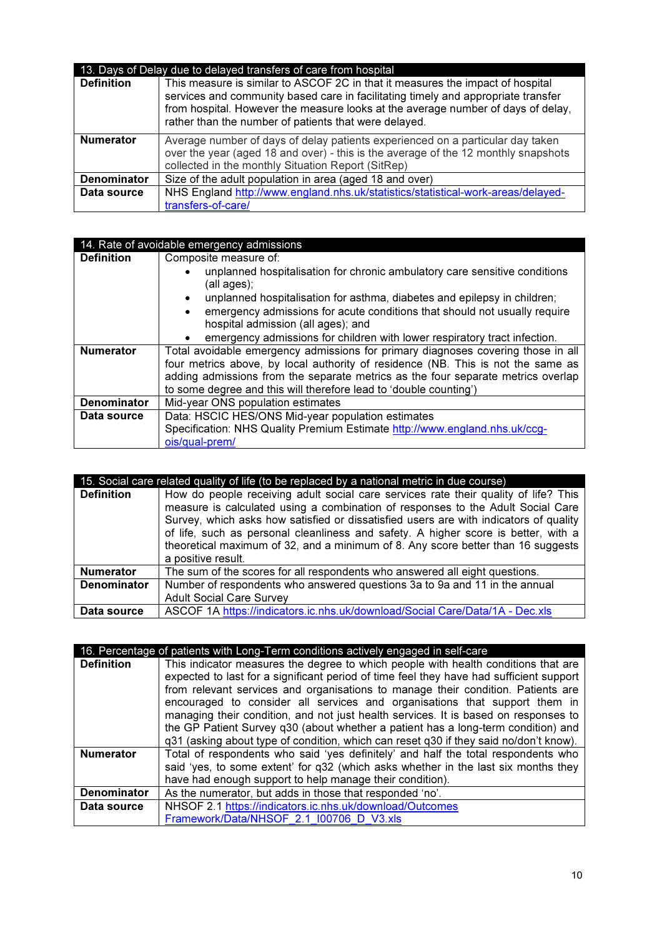|                    | 13. Days of Delay due to delayed transfers of care from hospital                                                                                                                                                                                                                                                 |
|--------------------|------------------------------------------------------------------------------------------------------------------------------------------------------------------------------------------------------------------------------------------------------------------------------------------------------------------|
| <b>Definition</b>  | This measure is similar to ASCOF 2C in that it measures the impact of hospital<br>services and community based care in facilitating timely and appropriate transfer<br>from hospital. However the measure looks at the average number of days of delay,<br>rather than the number of patients that were delayed. |
| <b>Numerator</b>   | Average number of days of delay patients experienced on a particular day taken<br>over the year (aged 18 and over) - this is the average of the 12 monthly snapshots<br>collected in the monthly Situation Report (SitRep)                                                                                       |
| <b>Denominator</b> | Size of the adult population in area (aged 18 and over)                                                                                                                                                                                                                                                          |
| Data source        | NHS England http://www.england.nhs.uk/statistics/statistical-work-areas/delayed-<br>transfers-of-care/                                                                                                                                                                                                           |

## 14. Rate of avoidable emergency admissions

| <b>Definition</b>  | Composite measure of:                                                                                                        |
|--------------------|------------------------------------------------------------------------------------------------------------------------------|
|                    | unplanned hospitalisation for chronic ambulatory care sensitive conditions<br>(all ages);                                    |
|                    | unplanned hospitalisation for asthma, diabetes and epilepsy in children;<br>$\bullet$                                        |
|                    | emergency admissions for acute conditions that should not usually require<br>$\bullet$<br>hospital admission (all ages); and |
|                    | emergency admissions for children with lower respiratory tract infection.                                                    |
| <b>Numerator</b>   | Total avoidable emergency admissions for primary diagnoses covering those in all                                             |
|                    | four metrics above, by local authority of residence (NB. This is not the same as                                             |
|                    | adding admissions from the separate metrics as the four separate metrics overlap                                             |
|                    | to some degree and this will therefore lead to 'double counting')                                                            |
| <b>Denominator</b> | Mid-year ONS population estimates                                                                                            |
| Data source        | Data: HSCIC HES/ONS Mid-year population estimates                                                                            |
|                    | Specification: NHS Quality Premium Estimate http://www.england.nhs.uk/ccg-                                                   |
|                    | ois/qual-prem/                                                                                                               |

| 15. Social care related quality of life (to be replaced by a national metric in due course) |                                                                                                                                                                                                                                                                                                                                                                                                                                                                 |
|---------------------------------------------------------------------------------------------|-----------------------------------------------------------------------------------------------------------------------------------------------------------------------------------------------------------------------------------------------------------------------------------------------------------------------------------------------------------------------------------------------------------------------------------------------------------------|
| <b>Definition</b>                                                                           | How do people receiving adult social care services rate their quality of life? This<br>measure is calculated using a combination of responses to the Adult Social Care<br>Survey, which asks how satisfied or dissatisfied users are with indicators of quality<br>of life, such as personal cleanliness and safety. A higher score is better, with a<br>theoretical maximum of 32, and a minimum of 8. Any score better than 16 suggests<br>a positive result. |
| <b>Numerator</b>                                                                            | The sum of the scores for all respondents who answered all eight questions.                                                                                                                                                                                                                                                                                                                                                                                     |
| <b>Denominator</b>                                                                          | Number of respondents who answered questions 3a to 9a and 11 in the annual<br><b>Adult Social Care Survey</b>                                                                                                                                                                                                                                                                                                                                                   |
| Data source                                                                                 | ASCOF 1A https://indicators.ic.nhs.uk/download/Social Care/Data/1A - Dec.xls                                                                                                                                                                                                                                                                                                                                                                                    |

|                    | 16. Percentage of patients with Long-Term conditions actively engaged in self-care      |
|--------------------|-----------------------------------------------------------------------------------------|
| <b>Definition</b>  | This indicator measures the degree to which people with health conditions that are      |
|                    | expected to last for a significant period of time feel they have had sufficient support |
|                    | from relevant services and organisations to manage their condition. Patients are        |
|                    | encouraged to consider all services and organisations that support them in              |
|                    | managing their condition, and not just health services. It is based on responses to     |
|                    | the GP Patient Survey q30 (about whether a patient has a long-term condition) and       |
|                    | q31 (asking about type of condition, which can reset q30 if they said no/don't know).   |
| <b>Numerator</b>   | Total of respondents who said 'yes definitely' and half the total respondents who       |
|                    | said 'yes, to some extent' for q32 (which asks whether in the last six months they      |
|                    | have had enough support to help manage their condition).                                |
| <b>Denominator</b> | As the numerator, but adds in those that responded 'no'.                                |
| Data source        | NHSOF 2.1 https://indicators.ic.nhs.uk/download/Outcomes                                |
|                    | Framework/Data/NHSOF 2.1 I00706 D V3.xls                                                |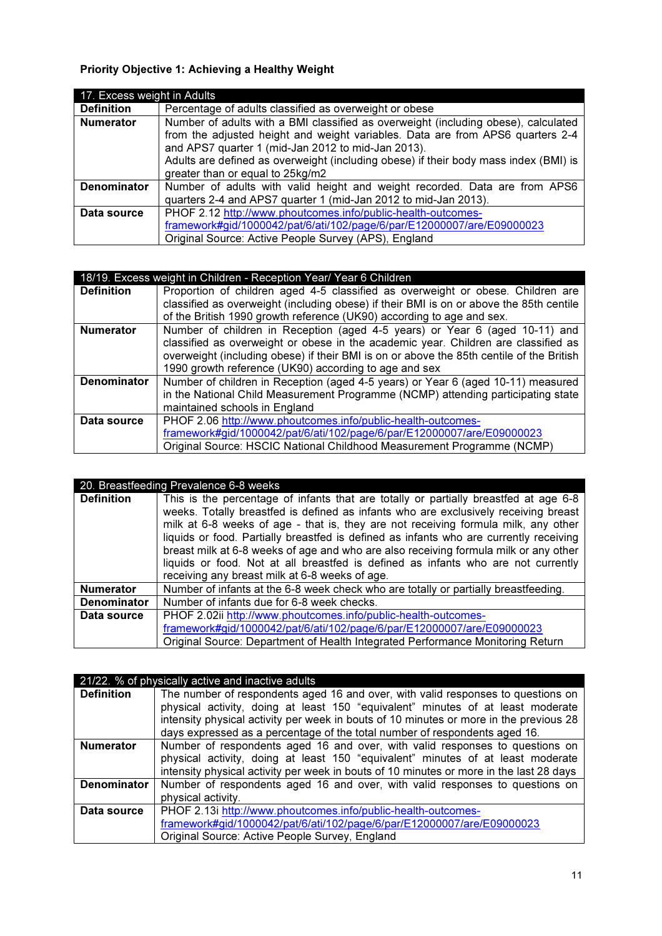# Priority Objective 1: Achieving a Healthy Weight

| 17. Excess weight in Adults |                                                                                      |
|-----------------------------|--------------------------------------------------------------------------------------|
| <b>Definition</b>           | Percentage of adults classified as overweight or obese                               |
| <b>Numerator</b>            | Number of adults with a BMI classified as overweight (including obese), calculated   |
|                             | from the adjusted height and weight variables. Data are from APS6 quarters 2-4       |
|                             | and APS7 quarter 1 (mid-Jan 2012 to mid-Jan 2013).                                   |
|                             | Adults are defined as overweight (including obese) if their body mass index (BMI) is |
|                             | greater than or equal to 25kg/m2                                                     |
| <b>Denominator</b>          | Number of adults with valid height and weight recorded. Data are from APS6           |
|                             | quarters 2-4 and APS7 quarter 1 (mid-Jan 2012 to mid-Jan 2013).                      |
| Data source                 | PHOF 2.12 http://www.phoutcomes.info/public-health-outcomes-                         |
|                             | framework#gid/1000042/pat/6/ati/102/page/6/par/E12000007/are/E09000023               |
|                             | Original Source: Active People Survey (APS), England                                 |

|                    | 18/19. Excess weight in Children - Reception Year/ Year 6 Children                       |
|--------------------|------------------------------------------------------------------------------------------|
| <b>Definition</b>  | Proportion of children aged 4-5 classified as overweight or obese. Children are          |
|                    | classified as overweight (including obese) if their BMI is on or above the 85th centile  |
|                    | of the British 1990 growth reference (UK90) according to age and sex.                    |
| <b>Numerator</b>   | Number of children in Reception (aged 4-5 years) or Year 6 (aged 10-11) and              |
|                    | classified as overweight or obese in the academic year. Children are classified as       |
|                    | overweight (including obese) if their BMI is on or above the 85th centile of the British |
|                    | 1990 growth reference (UK90) according to age and sex                                    |
| <b>Denominator</b> | Number of children in Reception (aged 4-5 years) or Year 6 (aged 10-11) measured         |
|                    | in the National Child Measurement Programme (NCMP) attending participating state         |
|                    | maintained schools in England                                                            |
| Data source        | PHOF 2.06 http://www.phoutcomes.info/public-health-outcomes-                             |
|                    | framework#gid/1000042/pat/6/ati/102/page/6/par/E12000007/are/E09000023                   |
|                    | Original Source: HSCIC National Childhood Measurement Programme (NCMP)                   |

|                    | 20. Breastfeeding Prevalence 6-8 weeks                                                                                                                                                                                                                                                                                                                                                                                                                                                                                                                                                     |
|--------------------|--------------------------------------------------------------------------------------------------------------------------------------------------------------------------------------------------------------------------------------------------------------------------------------------------------------------------------------------------------------------------------------------------------------------------------------------------------------------------------------------------------------------------------------------------------------------------------------------|
| <b>Definition</b>  | This is the percentage of infants that are totally or partially breastfed at age 6-8<br>weeks. Totally breastfed is defined as infants who are exclusively receiving breast<br>milk at 6-8 weeks of age - that is, they are not receiving formula milk, any other<br>liquids or food. Partially breastfed is defined as infants who are currently receiving<br>breast milk at 6-8 weeks of age and who are also receiving formula milk or any other<br>liquids or food. Not at all breastfed is defined as infants who are not currently<br>receiving any breast milk at 6-8 weeks of age. |
| <b>Numerator</b>   | Number of infants at the 6-8 week check who are totally or partially breastfeeding.                                                                                                                                                                                                                                                                                                                                                                                                                                                                                                        |
| <b>Denominator</b> | Number of infants due for 6-8 week checks.                                                                                                                                                                                                                                                                                                                                                                                                                                                                                                                                                 |
| Data source        | PHOF 2.02ii http://www.phoutcomes.info/public-health-outcomes-<br>framework#gid/1000042/pat/6/ati/102/page/6/par/E12000007/are/E09000023<br>Original Source: Department of Health Integrated Performance Monitoring Return                                                                                                                                                                                                                                                                                                                                                                 |

|                   | 21/22. % of physically active and inactive adults                                       |
|-------------------|-----------------------------------------------------------------------------------------|
| <b>Definition</b> | The number of respondents aged 16 and over, with valid responses to questions on        |
|                   | physical activity, doing at least 150 "equivalent" minutes of at least moderate         |
|                   | intensity physical activity per week in bouts of 10 minutes or more in the previous 28  |
|                   | days expressed as a percentage of the total number of respondents aged 16.              |
| <b>Numerator</b>  | Number of respondents aged 16 and over, with valid responses to questions on            |
|                   | physical activity, doing at least 150 "equivalent" minutes of at least moderate         |
|                   | intensity physical activity per week in bouts of 10 minutes or more in the last 28 days |
| Denominator       | Number of respondents aged 16 and over, with valid responses to questions on            |
|                   | physical activity.                                                                      |
| Data source       | PHOF 2.13i http://www.phoutcomes.info/public-health-outcomes-                           |
|                   | framework#gid/1000042/pat/6/ati/102/page/6/par/E12000007/are/E09000023                  |
|                   | Original Source: Active People Survey, England                                          |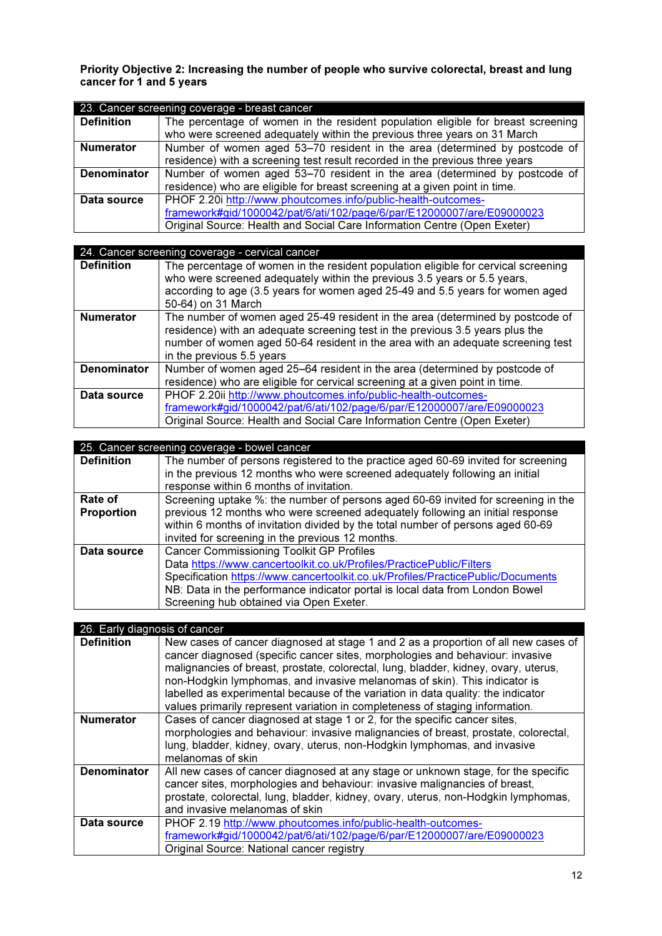Priority Objective 2: Increasing the number of people who survive colorectal, breast and lung cancer for 1 and 5 years

| 23. Cancer screening coverage - breast cancer |                                                                                  |
|-----------------------------------------------|----------------------------------------------------------------------------------|
| <b>Definition</b>                             | The percentage of women in the resident population eligible for breast screening |
|                                               | who were screened adequately within the previous three years on 31 March         |
| <b>Numerator</b>                              | Number of women aged 53–70 resident in the area (determined by postcode of       |
|                                               | residence) with a screening test result recorded in the previous three years     |
| <b>Denominator</b>                            | Number of women aged 53–70 resident in the area (determined by postcode of       |
|                                               | residence) who are eligible for breast screening at a given point in time.       |
| Data source                                   | PHOF 2.20i http://www.phoutcomes.info/public-health-outcomes-                    |
|                                               | framework#gid/1000042/pat/6/ati/102/page/6/par/E12000007/are/E09000023           |
|                                               | Original Source: Health and Social Care Information Centre (Open Exeter)         |

|                    | 24. Cancer screening coverage - cervical cancer                                                                                                                                                                                                                                 |
|--------------------|---------------------------------------------------------------------------------------------------------------------------------------------------------------------------------------------------------------------------------------------------------------------------------|
| <b>Definition</b>  | The percentage of women in the resident population eligible for cervical screening<br>who were screened adequately within the previous 3.5 years or 5.5 years,<br>according to age (3.5 years for women aged 25-49 and 5.5 years for women aged<br>50-64) on 31 March           |
| <b>Numerator</b>   | The number of women aged 25-49 resident in the area (determined by postcode of<br>residence) with an adequate screening test in the previous 3.5 years plus the<br>number of women aged 50-64 resident in the area with an adequate screening test<br>in the previous 5.5 years |
| <b>Denominator</b> | Number of women aged 25–64 resident in the area (determined by postcode of<br>residence) who are eligible for cervical screening at a given point in time.                                                                                                                      |
| Data source        | PHOF 2.20ii http://www.phoutcomes.info/public-health-outcomes-<br>framework#gid/1000042/pat/6/ati/102/page/6/par/E12000007/are/E09000023<br>Original Source: Health and Social Care Information Centre (Open Exeter)                                                            |

|                   | 25. Cancer screening coverage - bowel cancer                                      |
|-------------------|-----------------------------------------------------------------------------------|
| <b>Definition</b> | The number of persons registered to the practice aged 60-69 invited for screening |
|                   | in the previous 12 months who were screened adequately following an initial       |
|                   | response within 6 months of invitation.                                           |
| Rate of           | Screening uptake %: the number of persons aged 60-69 invited for screening in the |
| <b>Proportion</b> | previous 12 months who were screened adequately following an initial response     |
|                   | within 6 months of invitation divided by the total number of persons aged 60-69   |
|                   | invited for screening in the previous 12 months.                                  |
| Data source       | <b>Cancer Commissioning Toolkit GP Profiles</b>                                   |
|                   | Data https://www.cancertoolkit.co.uk/Profiles/PracticePublic/Filters              |
|                   | Specification https://www.cancertoolkit.co.uk/Profiles/PracticePublic/Documents   |
|                   | NB: Data in the performance indicator portal is local data from London Bowel      |
|                   | Screening hub obtained via Open Exeter.                                           |

| 26. Early diagnosis of cancer |                                                                                                                                                                                                                                                                                                                                                                                                                                                                                                             |
|-------------------------------|-------------------------------------------------------------------------------------------------------------------------------------------------------------------------------------------------------------------------------------------------------------------------------------------------------------------------------------------------------------------------------------------------------------------------------------------------------------------------------------------------------------|
| <b>Definition</b>             | New cases of cancer diagnosed at stage 1 and 2 as a proportion of all new cases of<br>cancer diagnosed (specific cancer sites, morphologies and behaviour: invasive<br>malignancies of breast, prostate, colorectal, lung, bladder, kidney, ovary, uterus,<br>non-Hodgkin lymphomas, and invasive melanomas of skin). This indicator is<br>labelled as experimental because of the variation in data quality: the indicator<br>values primarily represent variation in completeness of staging information. |
| <b>Numerator</b>              | Cases of cancer diagnosed at stage 1 or 2, for the specific cancer sites,<br>morphologies and behaviour: invasive malignancies of breast, prostate, colorectal,<br>lung, bladder, kidney, ovary, uterus, non-Hodgkin lymphomas, and invasive<br>melanomas of skin                                                                                                                                                                                                                                           |
| <b>Denominator</b>            | All new cases of cancer diagnosed at any stage or unknown stage, for the specific<br>cancer sites, morphologies and behaviour: invasive malignancies of breast,<br>prostate, colorectal, lung, bladder, kidney, ovary, uterus, non-Hodgkin lymphomas,<br>and invasive melanomas of skin                                                                                                                                                                                                                     |
| Data source                   | PHOF 2.19 http://www.phoutcomes.info/public-health-outcomes-<br>framework#gid/1000042/pat/6/ati/102/page/6/par/E12000007/are/E09000023<br>Original Source: National cancer registry                                                                                                                                                                                                                                                                                                                         |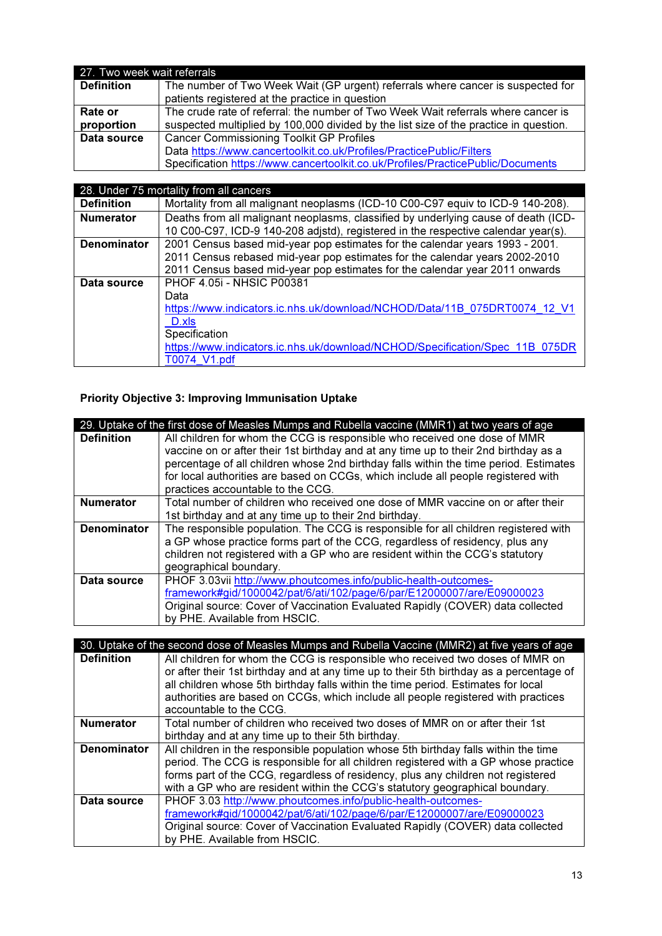| 27. Two week wait referrals |                                                                                       |
|-----------------------------|---------------------------------------------------------------------------------------|
| <b>Definition</b>           | The number of Two Week Wait (GP urgent) referrals where cancer is suspected for       |
|                             | patients registered at the practice in question                                       |
| Rate or                     | The crude rate of referral: the number of Two Week Wait referrals where cancer is     |
| proportion                  | suspected multiplied by 100,000 divided by the list size of the practice in question. |
| Data source                 | <b>Cancer Commissioning Toolkit GP Profiles</b>                                       |
|                             | Data https://www.cancertoolkit.co.uk/Profiles/PracticePublic/Filters                  |
|                             | Specification https://www.cancertoolkit.co.uk/Profiles/PracticePublic/Documents       |

|                    | 28. Under 75 mortality from all cancers                                                                                                                                                                                                         |
|--------------------|-------------------------------------------------------------------------------------------------------------------------------------------------------------------------------------------------------------------------------------------------|
| <b>Definition</b>  | Mortality from all malignant neoplasms (ICD-10 C00-C97 equiv to ICD-9 140-208).                                                                                                                                                                 |
| <b>Numerator</b>   | Deaths from all malignant neoplasms, classified by underlying cause of death (ICD-<br>10 C00-C97, ICD-9 140-208 adjstd), registered in the respective calendar year(s).                                                                         |
| <b>Denominator</b> | 2001 Census based mid-year pop estimates for the calendar years 1993 - 2001.<br>2011 Census rebased mid-year pop estimates for the calendar years 2002-2010<br>2011 Census based mid-year pop estimates for the calendar year 2011 onwards      |
| Data source        | <b>PHOF 4.05i - NHSIC P00381</b><br>Data<br>https://www.indicators.ic.nhs.uk/download/NCHOD/Data/11B 075DRT0074 12 V1<br>D.xls<br>Specification<br>https://www.indicators.ic.nhs.uk/download/NCHOD/Specification/Spec 11B 075DR<br>T0074 V1.pdf |

# Priority Objective 3: Improving Immunisation Uptake

|                    | 29. Uptake of the first dose of Measles Mumps and Rubella vaccine (MMR1) at two years of age |
|--------------------|----------------------------------------------------------------------------------------------|
| <b>Definition</b>  | All children for whom the CCG is responsible who received one dose of MMR                    |
|                    | vaccine on or after their 1st birthday and at any time up to their 2nd birthday as a         |
|                    | percentage of all children whose 2nd birthday falls within the time period. Estimates        |
|                    | for local authorities are based on CCGs, which include all people registered with            |
|                    | practices accountable to the CCG.                                                            |
| <b>Numerator</b>   | Total number of children who received one dose of MMR vaccine on or after their              |
|                    | 1st birthday and at any time up to their 2nd birthday.                                       |
| <b>Denominator</b> | The responsible population. The CCG is responsible for all children registered with          |
|                    | a GP whose practice forms part of the CCG, regardless of residency, plus any                 |
|                    | children not registered with a GP who are resident within the CCG's statutory                |
|                    | geographical boundary.                                                                       |
| Data source        | PHOF 3.03vii http://www.phoutcomes.info/public-health-outcomes-                              |
|                    | framework#gid/1000042/pat/6/ati/102/page/6/par/E12000007/are/E09000023                       |
|                    | Original source: Cover of Vaccination Evaluated Rapidly (COVER) data collected               |
|                    | by PHE. Available from HSCIC.                                                                |

|                    | 30. Uptake of the second dose of Measles Mumps and Rubella Vaccine (MMR2) at five years of age |
|--------------------|------------------------------------------------------------------------------------------------|
| <b>Definition</b>  | All children for whom the CCG is responsible who received two doses of MMR on                  |
|                    | or after their 1st birthday and at any time up to their 5th birthday as a percentage of        |
|                    | all children whose 5th birthday falls within the time period. Estimates for local              |
|                    | authorities are based on CCGs, which include all people registered with practices              |
|                    | accountable to the CCG.                                                                        |
| <b>Numerator</b>   | Total number of children who received two doses of MMR on or after their 1st                   |
|                    | birthday and at any time up to their 5th birthday.                                             |
| <b>Denominator</b> | All children in the responsible population whose 5th birthday falls within the time            |
|                    | period. The CCG is responsible for all children registered with a GP whose practice            |
|                    | forms part of the CCG, regardless of residency, plus any children not registered               |
|                    | with a GP who are resident within the CCG's statutory geographical boundary.                   |
| Data source        | PHOF 3.03 http://www.phoutcomes.info/public-health-outcomes-                                   |
|                    | framework#gid/1000042/pat/6/ati/102/page/6/par/E12000007/are/E09000023                         |
|                    | Original source: Cover of Vaccination Evaluated Rapidly (COVER) data collected                 |
|                    | by PHE. Available from HSCIC.                                                                  |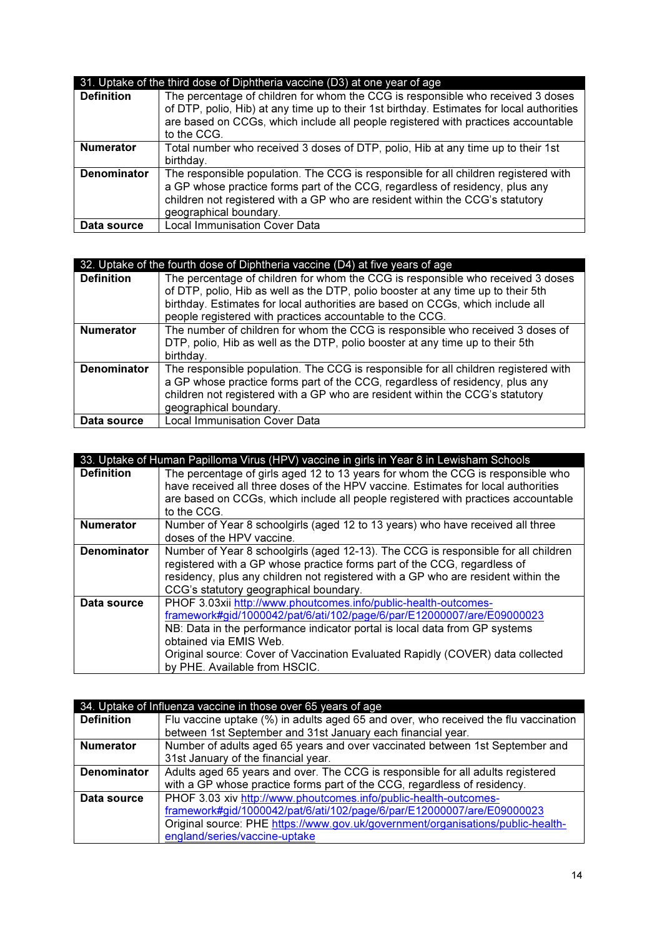|                    | 31. Uptake of the third dose of Diphtheria vaccine (D3) at one year of age                                                                                                                                                                                                       |  |
|--------------------|----------------------------------------------------------------------------------------------------------------------------------------------------------------------------------------------------------------------------------------------------------------------------------|--|
| <b>Definition</b>  | The percentage of children for whom the CCG is responsible who received 3 doses<br>of DTP, polio, Hib) at any time up to their 1st birthday. Estimates for local authorities<br>are based on CCGs, which include all people registered with practices accountable<br>to the CCG. |  |
| <b>Numerator</b>   | Total number who received 3 doses of DTP, polio, Hib at any time up to their 1st                                                                                                                                                                                                 |  |
|                    | birthday.                                                                                                                                                                                                                                                                        |  |
| <b>Denominator</b> | The responsible population. The CCG is responsible for all children registered with<br>a GP whose practice forms part of the CCG, regardless of residency, plus any<br>children not registered with a GP who are resident within the CCG's statutory<br>geographical boundary.   |  |
| Data source        | <b>Local Immunisation Cover Data</b>                                                                                                                                                                                                                                             |  |

| 32. Uptake of the fourth dose of Diphtheria vaccine (D4) at five years of age |                                                                                     |
|-------------------------------------------------------------------------------|-------------------------------------------------------------------------------------|
|                                                                               |                                                                                     |
| <b>Definition</b>                                                             | The percentage of children for whom the CCG is responsible who received 3 doses     |
|                                                                               | of DTP, polio, Hib as well as the DTP, polio booster at any time up to their 5th    |
|                                                                               | birthday. Estimates for local authorities are based on CCGs, which include all      |
|                                                                               | people registered with practices accountable to the CCG.                            |
| <b>Numerator</b>                                                              | The number of children for whom the CCG is responsible who received 3 doses of      |
|                                                                               | DTP, polio, Hib as well as the DTP, polio booster at any time up to their 5th       |
|                                                                               | birthday.                                                                           |
| <b>Denominator</b>                                                            | The responsible population. The CCG is responsible for all children registered with |
|                                                                               | a GP whose practice forms part of the CCG, regardless of residency, plus any        |
|                                                                               | children not registered with a GP who are resident within the CCG's statutory       |
|                                                                               | geographical boundary.                                                              |
| Data source                                                                   | Local Immunisation Cover Data                                                       |

|                    | 33. Uptake of Human Papilloma Virus (HPV) vaccine in girls in Year 8 in Lewisham Schools                                                                                                                                                                                                                                                                             |
|--------------------|----------------------------------------------------------------------------------------------------------------------------------------------------------------------------------------------------------------------------------------------------------------------------------------------------------------------------------------------------------------------|
| <b>Definition</b>  | The percentage of girls aged 12 to 13 years for whom the CCG is responsible who<br>have received all three doses of the HPV vaccine. Estimates for local authorities<br>are based on CCGs, which include all people registered with practices accountable<br>to the CCG.                                                                                             |
| <b>Numerator</b>   | Number of Year 8 schoolgirls (aged 12 to 13 years) who have received all three<br>doses of the HPV vaccine.                                                                                                                                                                                                                                                          |
| <b>Denominator</b> | Number of Year 8 schoolgirls (aged 12-13). The CCG is responsible for all children<br>registered with a GP whose practice forms part of the CCG, regardless of<br>residency, plus any children not registered with a GP who are resident within the<br>CCG's statutory geographical boundary.                                                                        |
| Data source        | PHOF 3.03xii http://www.phoutcomes.info/public-health-outcomes-<br>framework#gid/1000042/pat/6/ati/102/page/6/par/E12000007/are/E09000023<br>NB: Data in the performance indicator portal is local data from GP systems<br>obtained via EMIS Web.<br>Original source: Cover of Vaccination Evaluated Rapidly (COVER) data collected<br>by PHE. Available from HSCIC. |

| 34. Uptake of Influenza vaccine in those over 65 years of age |                                                                                     |
|---------------------------------------------------------------|-------------------------------------------------------------------------------------|
| <b>Definition</b>                                             | Flu vaccine uptake (%) in adults aged 65 and over, who received the flu vaccination |
|                                                               | between 1st September and 31st January each financial year.                         |
| <b>Numerator</b>                                              | Number of adults aged 65 years and over vaccinated between 1st September and        |
|                                                               | 31st January of the financial year.                                                 |
| <b>Denominator</b>                                            | Adults aged 65 years and over. The CCG is responsible for all adults registered     |
|                                                               | with a GP whose practice forms part of the CCG, regardless of residency.            |
| Data source                                                   | PHOF 3.03 xiv http://www.phoutcomes.info/public-health-outcomes-                    |
|                                                               | framework#gid/1000042/pat/6/ati/102/page/6/par/E12000007/are/E09000023              |
|                                                               | Original source: PHE https://www.gov.uk/government/organisations/public-health-     |
|                                                               | england/series/vaccine-uptake                                                       |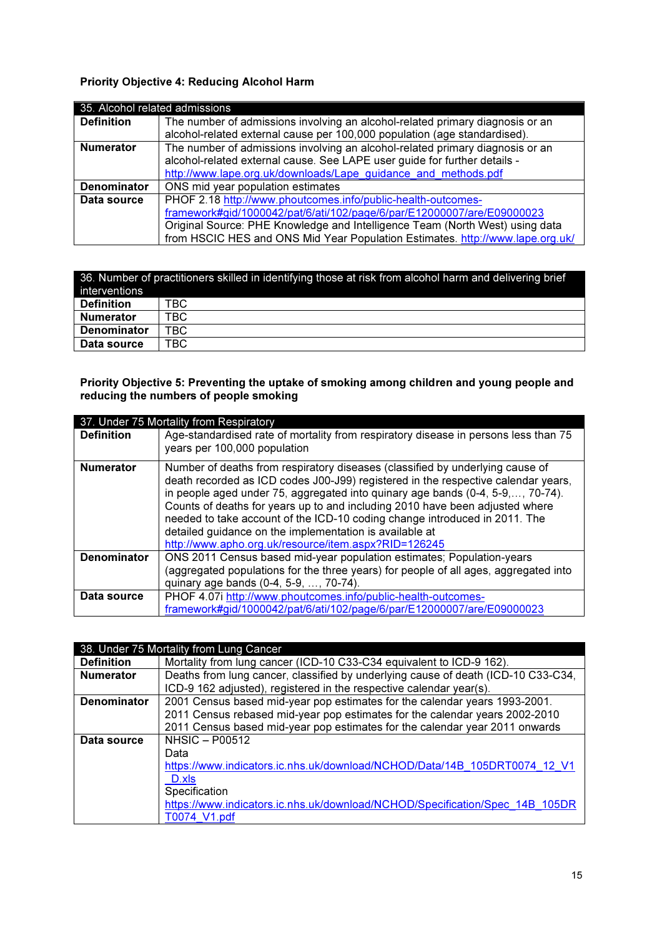#### Priority Objective 4: Reducing Alcohol Harm

| 35. Alcohol related admissions |                                                                               |
|--------------------------------|-------------------------------------------------------------------------------|
| <b>Definition</b>              | The number of admissions involving an alcohol-related primary diagnosis or an |
|                                | alcohol-related external cause per 100,000 population (age standardised).     |
| <b>Numerator</b>               | The number of admissions involving an alcohol-related primary diagnosis or an |
|                                | alcohol-related external cause. See LAPE user guide for further details -     |
|                                | http://www.lape.org.uk/downloads/Lape guidance and methods.pdf                |
| <b>Denominator</b>             | ONS mid year population estimates                                             |
| Data source                    | PHOF 2.18 http://www.phoutcomes.info/public-health-outcomes-                  |
|                                | framework#gid/1000042/pat/6/ati/102/page/6/par/E12000007/are/E09000023        |
|                                | Original Source: PHE Knowledge and Intelligence Team (North West) using data  |
|                                | from HSCIC HES and ONS Mid Year Population Estimates. http://www.lape.org.uk/ |

| 36. Number of practitioners skilled in identifying those at risk from alcohol harm and delivering brief<br>interventions |      |
|--------------------------------------------------------------------------------------------------------------------------|------|
| <b>Definition</b>                                                                                                        | TBC  |
| <b>Numerator</b>                                                                                                         | TBC. |
| <b>Denominator</b>                                                                                                       | TBC  |
| Data source                                                                                                              | TBC  |

#### Priority Objective 5: Preventing the uptake of smoking among children and young people and reducing the numbers of people smoking

|                    | 37. Under 75 Mortality from Respiratory                                                                                                                                                                                                                                                                                                                                                                                                                                                                                               |  |
|--------------------|---------------------------------------------------------------------------------------------------------------------------------------------------------------------------------------------------------------------------------------------------------------------------------------------------------------------------------------------------------------------------------------------------------------------------------------------------------------------------------------------------------------------------------------|--|
| <b>Definition</b>  | Age-standardised rate of mortality from respiratory disease in persons less than 75                                                                                                                                                                                                                                                                                                                                                                                                                                                   |  |
|                    | years per 100,000 population                                                                                                                                                                                                                                                                                                                                                                                                                                                                                                          |  |
| <b>Numerator</b>   | Number of deaths from respiratory diseases (classified by underlying cause of<br>death recorded as ICD codes J00-J99) registered in the respective calendar years,<br>in people aged under 75, aggregated into quinary age bands (0-4, 5-9,, 70-74).<br>Counts of deaths for years up to and including 2010 have been adjusted where<br>needed to take account of the ICD-10 coding change introduced in 2011. The<br>detailed guidance on the implementation is available at<br>http://www.apho.org.uk/resource/item.aspx?RID=126245 |  |
| <b>Denominator</b> | ONS 2011 Census based mid-year population estimates; Population-years<br>(aggregated populations for the three years) for people of all ages, aggregated into                                                                                                                                                                                                                                                                                                                                                                         |  |
|                    | quinary age bands (0-4, 5-9, , 70-74).                                                                                                                                                                                                                                                                                                                                                                                                                                                                                                |  |
| Data source        | PHOF 4.07i http://www.phoutcomes.info/public-health-outcomes-                                                                                                                                                                                                                                                                                                                                                                                                                                                                         |  |
|                    | framework#gid/1000042/pat/6/ati/102/page/6/par/E12000007/are/E09000023                                                                                                                                                                                                                                                                                                                                                                                                                                                                |  |

|                    | 38. Under 75 Mortality from Lung Cancer                                           |
|--------------------|-----------------------------------------------------------------------------------|
| <b>Definition</b>  | Mortality from lung cancer (ICD-10 C33-C34 equivalent to ICD-9 162).              |
| <b>Numerator</b>   | Deaths from lung cancer, classified by underlying cause of death (ICD-10 C33-C34, |
|                    | ICD-9 162 adjusted), registered in the respective calendar year(s).               |
| <b>Denominator</b> | 2001 Census based mid-year pop estimates for the calendar years 1993-2001.        |
|                    | 2011 Census rebased mid-year pop estimates for the calendar years 2002-2010       |
|                    | 2011 Census based mid-year pop estimates for the calendar year 2011 onwards       |
| Data source        | $NHSIC - PO0512$                                                                  |
|                    | Data                                                                              |
|                    | https://www.indicators.ic.nhs.uk/download/NCHOD/Data/14B 105DRT0074 12 V1         |
|                    | D.xls                                                                             |
|                    | Specification                                                                     |
|                    | https://www.indicators.ic.nhs.uk/download/NCHOD/Specification/Spec 14B 105DR      |
|                    | T0074 V1.pdf                                                                      |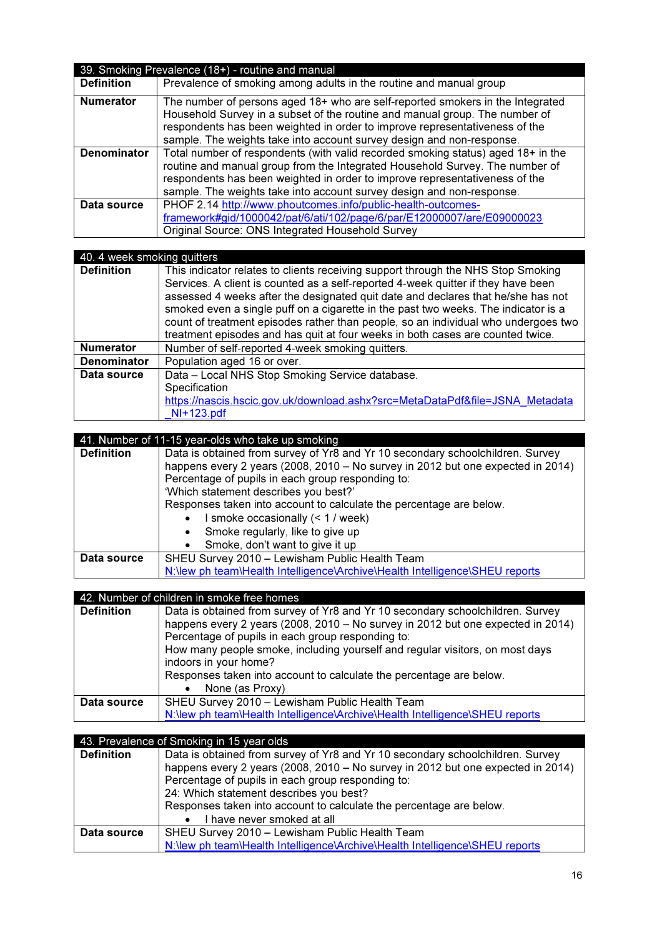| 39. Smoking Prevalence (18+) - routine and manual |                                                                                                                                                                                                                                                                                                                          |
|---------------------------------------------------|--------------------------------------------------------------------------------------------------------------------------------------------------------------------------------------------------------------------------------------------------------------------------------------------------------------------------|
| <b>Definition</b>                                 | Prevalence of smoking among adults in the routine and manual group                                                                                                                                                                                                                                                       |
| <b>Numerator</b>                                  | The number of persons aged 18+ who are self-reported smokers in the Integrated<br>Household Survey in a subset of the routine and manual group. The number of<br>respondents has been weighted in order to improve representativeness of the<br>sample. The weights take into account survey design and non-response.    |
| <b>Denominator</b>                                | Total number of respondents (with valid recorded smoking status) aged 18+ in the<br>routine and manual group from the Integrated Household Survey. The number of<br>respondents has been weighted in order to improve representativeness of the<br>sample. The weights take into account survey design and non-response. |
| Data source                                       | PHOF 2.14 http://www.phoutcomes.info/public-health-outcomes-<br>framework#gid/1000042/pat/6/ati/102/page/6/par/E12000007/are/E09000023<br>Original Source: ONS Integrated Household Survey                                                                                                                               |

| 40. 4 week smoking quitters |                                                                                    |
|-----------------------------|------------------------------------------------------------------------------------|
| <b>Definition</b>           | This indicator relates to clients receiving support through the NHS Stop Smoking   |
|                             | Services. A client is counted as a self-reported 4-week quitter if they have been  |
|                             | assessed 4 weeks after the designated quit date and declares that he/she has not   |
|                             | smoked even a single puff on a cigarette in the past two weeks. The indicator is a |
|                             | count of treatment episodes rather than people, so an individual who undergoes two |
|                             | treatment episodes and has quit at four weeks in both cases are counted twice.     |
| <b>Numerator</b>            | Number of self-reported 4-week smoking quitters.                                   |
| <b>Denominator</b>          | Population aged 16 or over.                                                        |
| Data source                 | Data - Local NHS Stop Smoking Service database.                                    |
|                             | Specification                                                                      |
|                             | https://nascis.hscic.gov.uk/download.ashx?src=MetaDataPdf&file=JSNA Metadata       |
|                             | $NI+123.pdf$                                                                       |

|                   | 41. Number of 11-15 year-olds who take up smoking                               |
|-------------------|---------------------------------------------------------------------------------|
| <b>Definition</b> | Data is obtained from survey of Yr8 and Yr 10 secondary schoolchildren. Survey  |
|                   | happens every 2 years (2008, 2010 - No survey in 2012 but one expected in 2014) |
|                   | Percentage of pupils in each group responding to:                               |
|                   | 'Which statement describes you best?'                                           |
|                   | Responses taken into account to calculate the percentage are below.             |
|                   | I smoke occasionally (< 1 / week)                                               |
|                   | Smoke regularly, like to give up<br>$\bullet$                                   |
|                   | Smoke, don't want to give it up                                                 |
| Data source       | SHEU Survey 2010 - Lewisham Public Health Team                                  |
|                   | N:\lew ph team\Health Intelligence\Archive\Health Intelligence\SHEU reports     |

| 42. Number of children in smoke free homes |                                     |
|--------------------------------------------|-------------------------------------|
| l Dofinition                               | Data is obtained from survey of Vrg |

| <b>Definition</b> | Data is obtained from survey of Yr8 and Yr 10 secondary schoolchildren. Survey  |
|-------------------|---------------------------------------------------------------------------------|
|                   | happens every 2 years (2008, 2010 – No survey in 2012 but one expected in 2014) |
|                   | Percentage of pupils in each group responding to:                               |
|                   | How many people smoke, including yourself and regular visitors, on most days    |
|                   | indoors in your home?                                                           |
|                   | Responses taken into account to calculate the percentage are below.             |
|                   | • None (as Proxy)                                                               |
| Data source       | SHEU Survey 2010 - Lewisham Public Health Team                                  |
|                   | N:\lew ph team\Health Intelligence\Archive\Health Intelligence\SHEU reports     |

| 43. Prevalence of Smoking in 15 year olds |                                                                                                                                                                                                                                                                   |
|-------------------------------------------|-------------------------------------------------------------------------------------------------------------------------------------------------------------------------------------------------------------------------------------------------------------------|
| <b>Definition</b>                         | Data is obtained from survey of Yr8 and Yr 10 secondary schoolchildren. Survey<br>happens every 2 years (2008, 2010 - No survey in 2012 but one expected in 2014)<br>Percentage of pupils in each group responding to:<br>24: Which statement describes you best? |
|                                           | Responses taken into account to calculate the percentage are below.<br>I have never smoked at all                                                                                                                                                                 |
|                                           |                                                                                                                                                                                                                                                                   |
| Data source                               | SHEU Survey 2010 - Lewisham Public Health Team                                                                                                                                                                                                                    |
|                                           | N: New ph team \Health Intelligence\Archive\Health Intelligence\SHEU reports                                                                                                                                                                                      |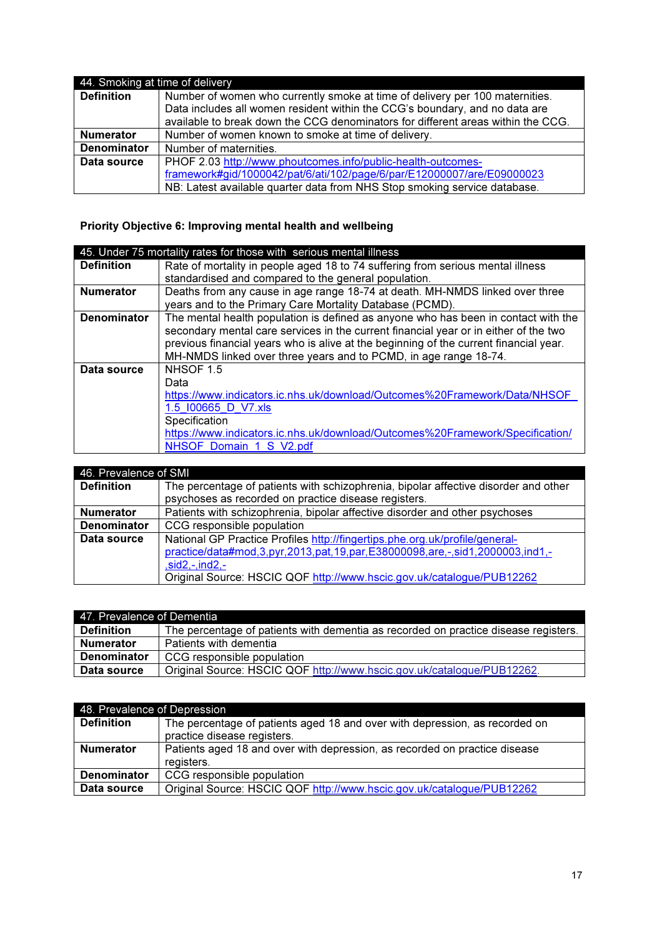| 44. Smoking at time of delivery |                                                                                  |
|---------------------------------|----------------------------------------------------------------------------------|
| <b>Definition</b>               | Number of women who currently smoke at time of delivery per 100 maternities.     |
|                                 | Data includes all women resident within the CCG's boundary, and no data are      |
|                                 | available to break down the CCG denominators for different areas within the CCG. |
| <b>Numerator</b>                | Number of women known to smoke at time of delivery.                              |
| <b>Denominator</b>              | Number of maternities.                                                           |
| Data source                     | PHOF 2.03 http://www.phoutcomes.info/public-health-outcomes-                     |
|                                 | framework#gid/1000042/pat/6/ati/102/page/6/par/E12000007/are/E09000023           |
|                                 | NB: Latest available quarter data from NHS Stop smoking service database.        |

### Priority Objective 6: Improving mental health and wellbeing

|                    | 45. Under 75 mortality rates for those with serious mental illness                    |
|--------------------|---------------------------------------------------------------------------------------|
| <b>Definition</b>  | Rate of mortality in people aged 18 to 74 suffering from serious mental illness       |
|                    | standardised and compared to the general population.                                  |
| <b>Numerator</b>   | Deaths from any cause in age range 18-74 at death. MH-NMDS linked over three          |
|                    | years and to the Primary Care Mortality Database (PCMD).                              |
| <b>Denominator</b> | The mental health population is defined as anyone who has been in contact with the    |
|                    | secondary mental care services in the current financial year or in either of the two  |
|                    | previous financial years who is alive at the beginning of the current financial year. |
|                    | MH-NMDS linked over three years and to PCMD, in age range 18-74.                      |
| Data source        | NHSOF 1.5                                                                             |
|                    | Data                                                                                  |
|                    | https://www.indicators.ic.nhs.uk/download/Outcomes%20Framework/Data/NHSOF             |
|                    | 1.5 100665 D V7.xls                                                                   |
|                    | Specification                                                                         |
|                    | https://www.indicators.ic.nhs.uk/download/Outcomes%20Framework/Specification/         |
|                    | NHSOF Domain 1 S V2.pdf                                                               |

| 46. Prevalence of SMI |                                                                                                                                             |
|-----------------------|---------------------------------------------------------------------------------------------------------------------------------------------|
| <b>Definition</b>     | The percentage of patients with schizophrenia, bipolar affective disorder and other<br>psychoses as recorded on practice disease registers. |
|                       |                                                                                                                                             |
| <b>Numerator</b>      | Patients with schizophrenia, bipolar affective disorder and other psychoses                                                                 |
| <b>Denominator</b>    | CCG responsible population                                                                                                                  |
| Data source           | National GP Practice Profiles http://fingertips.phe.org.uk/profile/general-                                                                 |
|                       | practice/data#mod, 3, pyr, 2013, pat, 19, par, E38000098, are, -, sid1, 2000003, ind1,-                                                     |
|                       | $,sid2,-ind2,-$                                                                                                                             |
|                       | Original Source: HSCIC QOF http://www.hscic.gov.uk/catalogue/PUB12262                                                                       |

| 47. Prevalence of Dementia |                                                                                     |
|----------------------------|-------------------------------------------------------------------------------------|
| <b>Definition</b>          | The percentage of patients with dementia as recorded on practice disease registers. |
| <b>Numerator</b>           | Patients with dementia                                                              |
| <b>Denominator</b>         | CCG responsible population                                                          |
| Data source                | Original Source: HSCIC QOF http://www.hscic.gov.uk/catalogue/PUB12262.              |

| 48. Prevalence of Depression |                                                                                                            |
|------------------------------|------------------------------------------------------------------------------------------------------------|
| <b>Definition</b>            | The percentage of patients aged 18 and over with depression, as recorded on<br>practice disease registers. |
| <b>Numerator</b>             | Patients aged 18 and over with depression, as recorded on practice disease<br>registers.                   |
| <b>Denominator</b>           | CCG responsible population                                                                                 |
| Data source                  | Original Source: HSCIC QOF http://www.hscic.gov.uk/catalogue/PUB12262                                      |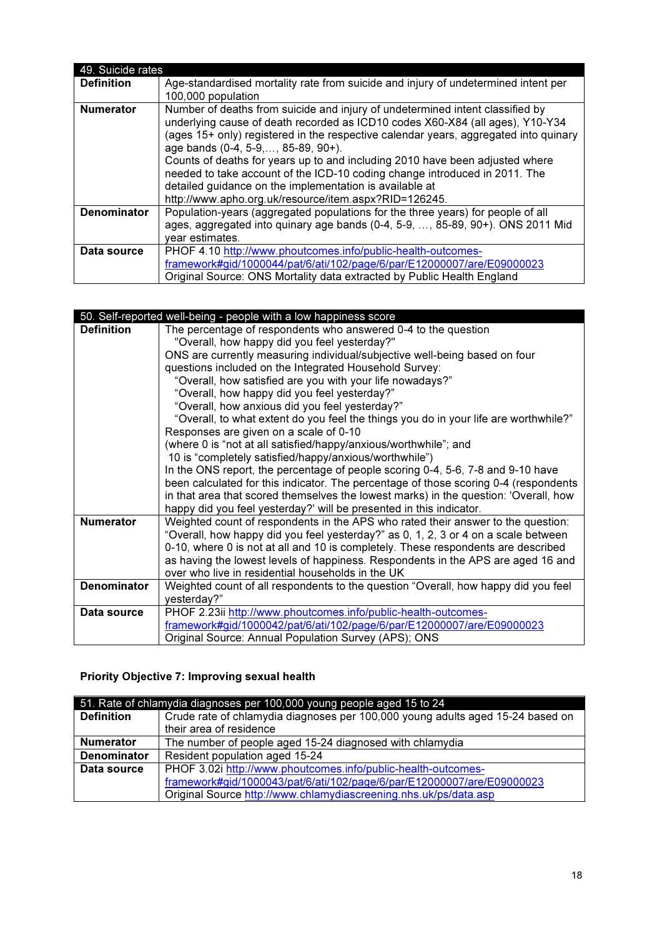| 49. Suicide rates  |                                                                                                                                                                                                                                                                                                                                                                                                                                                                                                                                                                                |
|--------------------|--------------------------------------------------------------------------------------------------------------------------------------------------------------------------------------------------------------------------------------------------------------------------------------------------------------------------------------------------------------------------------------------------------------------------------------------------------------------------------------------------------------------------------------------------------------------------------|
| <b>Definition</b>  | Age-standardised mortality rate from suicide and injury of undetermined intent per<br>100,000 population                                                                                                                                                                                                                                                                                                                                                                                                                                                                       |
| <b>Numerator</b>   | Number of deaths from suicide and injury of undetermined intent classified by<br>underlying cause of death recorded as ICD10 codes X60-X84 (all ages), Y10-Y34<br>(ages 15+ only) registered in the respective calendar years, aggregated into quinary<br>age bands (0-4, 5-9,, 85-89, 90+).<br>Counts of deaths for years up to and including 2010 have been adjusted where<br>needed to take account of the ICD-10 coding change introduced in 2011. The<br>detailed guidance on the implementation is available at<br>http://www.apho.org.uk/resource/item.aspx?RID=126245. |
| <b>Denominator</b> | Population-years (aggregated populations for the three years) for people of all<br>ages, aggregated into quinary age bands (0-4, 5-9, , 85-89, 90+). ONS 2011 Mid<br>year estimates.                                                                                                                                                                                                                                                                                                                                                                                           |
| Data source        | PHOF 4.10 http://www.phoutcomes.info/public-health-outcomes-<br>framework#gid/1000044/pat/6/ati/102/page/6/par/E12000007/are/E09000023<br>Original Source: ONS Mortality data extracted by Public Health England                                                                                                                                                                                                                                                                                                                                                               |

|                    | 50. Self-reported well-being - people with a low happiness score                     |
|--------------------|--------------------------------------------------------------------------------------|
| <b>Definition</b>  | The percentage of respondents who answered 0-4 to the question                       |
|                    | "Overall, how happy did you feel yesterday?"                                         |
|                    | ONS are currently measuring individual/subjective well-being based on four           |
|                    | questions included on the Integrated Household Survey:                               |
|                    | "Overall, how satisfied are you with your life nowadays?"                            |
|                    | "Overall, how happy did you feel yesterday?"                                         |
|                    | "Overall, how anxious did you feel yesterday?"                                       |
|                    | "Overall, to what extent do you feel the things you do in your life are worthwhile?" |
|                    | Responses are given on a scale of 0-10                                               |
|                    | (where 0 is "not at all satisfied/happy/anxious/worthwhile"; and                     |
|                    | 10 is "completely satisfied/happy/anxious/worthwhile")                               |
|                    | In the ONS report, the percentage of people scoring 0-4, 5-6, 7-8 and 9-10 have      |
|                    | been calculated for this indicator. The percentage of those scoring 0-4 (respondents |
|                    | in that area that scored themselves the lowest marks) in the question: 'Overall, how |
|                    | happy did you feel yesterday?' will be presented in this indicator.                  |
| <b>Numerator</b>   | Weighted count of respondents in the APS who rated their answer to the question:     |
|                    | "Overall, how happy did you feel yesterday?" as 0, 1, 2, 3 or 4 on a scale between   |
|                    | 0-10, where 0 is not at all and 10 is completely. These respondents are described    |
|                    | as having the lowest levels of happiness. Respondents in the APS are aged 16 and     |
|                    | over who live in residential households in the UK                                    |
| <b>Denominator</b> | Weighted count of all respondents to the question "Overall, how happy did you feel   |
|                    | yesterday?"                                                                          |
| Data source        | PHOF 2.23ii http://www.phoutcomes.info/public-health-outcomes-                       |
|                    | framework#gid/1000042/pat/6/ati/102/page/6/par/E12000007/are/E09000023               |
|                    | Original Source: Annual Population Survey (APS); ONS                                 |

# Priority Objective 7: Improving sexual health

| 51. Rate of chlamydia diagnoses per 100,000 young people aged 15 to 24 |                                                                                |
|------------------------------------------------------------------------|--------------------------------------------------------------------------------|
| <b>Definition</b>                                                      | Crude rate of chlamydia diagnoses per 100,000 young adults aged 15-24 based on |
|                                                                        | their area of residence                                                        |
| <b>Numerator</b>                                                       | The number of people aged 15-24 diagnosed with chlamydia                       |
| <b>Denominator</b>                                                     | Resident population aged 15-24                                                 |
| Data source                                                            | PHOF 3.02i http://www.phoutcomes.info/public-health-outcomes-                  |
|                                                                        | framework#gid/1000043/pat/6/ati/102/page/6/par/E12000007/are/E09000023         |
|                                                                        | Original Source http://www.chlamydiascreening.nhs.uk/ps/data.asp               |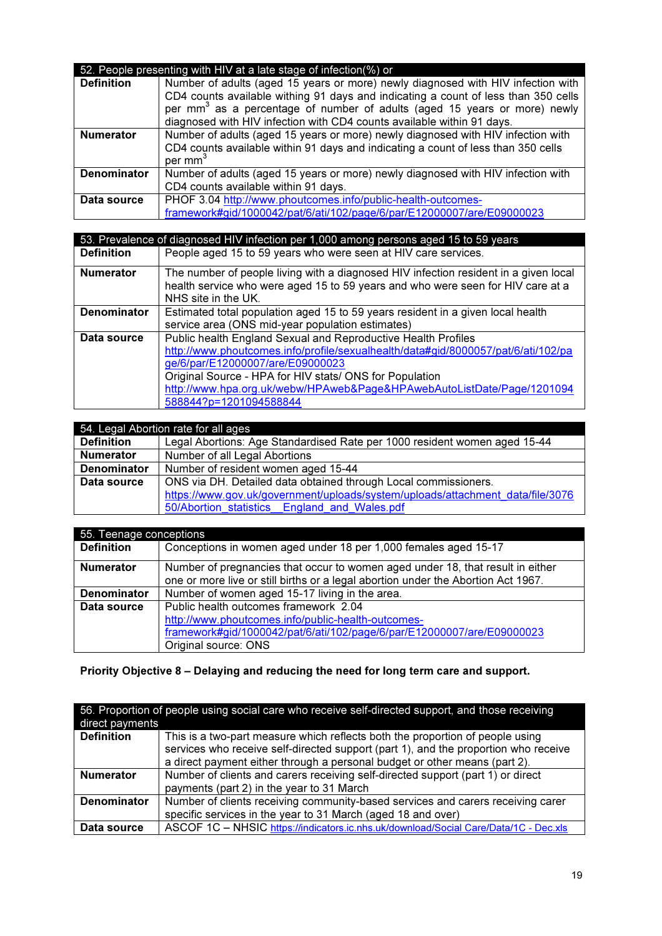| 52. People presenting with HIV at a late stage of infection(%) or |                                                                                                                                                                                                                                                                                                                                           |
|-------------------------------------------------------------------|-------------------------------------------------------------------------------------------------------------------------------------------------------------------------------------------------------------------------------------------------------------------------------------------------------------------------------------------|
| <b>Definition</b>                                                 | Number of adults (aged 15 years or more) newly diagnosed with HIV infection with<br>CD4 counts available withing 91 days and indicating a count of less than 350 cells<br>per mm <sup>3</sup> as a percentage of number of adults (aged 15 years or more) newly<br>diagnosed with HIV infection with CD4 counts available within 91 days. |
| <b>Numerator</b>                                                  | Number of adults (aged 15 years or more) newly diagnosed with HIV infection with<br>CD4 counts available within 91 days and indicating a count of less than 350 cells<br>per mm <sup>3</sup>                                                                                                                                              |
| <b>Denominator</b>                                                | Number of adults (aged 15 years or more) newly diagnosed with HIV infection with<br>CD4 counts available within 91 days.                                                                                                                                                                                                                  |
| Data source                                                       | PHOF 3.04 http://www.phoutcomes.info/public-health-outcomes-<br>framework#gid/1000042/pat/6/ati/102/page/6/par/E12000007/are/E09000023                                                                                                                                                                                                    |

|                    | 53. Prevalence of diagnosed HIV infection per 1,000 among persons aged 15 to 59 years                                                                                                                                                                                                                                                                 |
|--------------------|-------------------------------------------------------------------------------------------------------------------------------------------------------------------------------------------------------------------------------------------------------------------------------------------------------------------------------------------------------|
| <b>Definition</b>  | People aged 15 to 59 years who were seen at HIV care services.                                                                                                                                                                                                                                                                                        |
| <b>Numerator</b>   | The number of people living with a diagnosed HIV infection resident in a given local<br>health service who were aged 15 to 59 years and who were seen for HIV care at a<br>NHS site in the UK.                                                                                                                                                        |
| <b>Denominator</b> | Estimated total population aged 15 to 59 years resident in a given local health<br>service area (ONS mid-year population estimates)                                                                                                                                                                                                                   |
| Data source        | Public health England Sexual and Reproductive Health Profiles<br>http://www.phoutcomes.info/profile/sexualhealth/data#gid/8000057/pat/6/ati/102/pa<br>ge/6/par/E12000007/are/E09000023<br>Original Source - HPA for HIV stats/ ONS for Population<br>http://www.hpa.org.uk/webw/HPAweb&Page&HPAwebAutoListDate/Page/1201094<br>588844?p=1201094588844 |

| 54. Legal Abortion rate for all ages |                                                                                |
|--------------------------------------|--------------------------------------------------------------------------------|
| <b>Definition</b>                    | Legal Abortions: Age Standardised Rate per 1000 resident women aged 15-44      |
| <b>Numerator</b>                     | Number of all Legal Abortions                                                  |
| <b>Denominator</b>                   | Number of resident women aged 15-44                                            |
| Data source                          | ONS via DH. Detailed data obtained through Local commissioners.                |
|                                      | https://www.gov.uk/government/uploads/system/uploads/attachment_data/file/3076 |
|                                      | 50/Abortion statistics England and Wales.pdf                                   |

| 55. Teenage conceptions |                                                                                   |
|-------------------------|-----------------------------------------------------------------------------------|
| <b>Definition</b>       | Conceptions in women aged under 18 per 1,000 females aged 15-17                   |
| <b>Numerator</b>        | Number of pregnancies that occur to women aged under 18, that result in either    |
|                         | one or more live or still births or a legal abortion under the Abortion Act 1967. |
| <b>Denominator</b>      | Number of women aged 15-17 living in the area.                                    |
| Data source             | Public health outcomes framework 2.04                                             |
|                         | http://www.phoutcomes.info/public-health-outcomes-                                |
|                         | framework#gid/1000042/pat/6/ati/102/page/6/par/E12000007/are/E09000023            |
|                         | Original source: ONS                                                              |

# Priority Objective 8 – Delaying and reducing the need for long term care and support.

| 56. Proportion of people using social care who receive self-directed support, and those receiving |                                                                                      |
|---------------------------------------------------------------------------------------------------|--------------------------------------------------------------------------------------|
| direct payments                                                                                   |                                                                                      |
| <b>Definition</b>                                                                                 | This is a two-part measure which reflects both the proportion of people using        |
|                                                                                                   | services who receive self-directed support (part 1), and the proportion who receive  |
|                                                                                                   | a direct payment either through a personal budget or other means (part 2).           |
| <b>Numerator</b>                                                                                  | Number of clients and carers receiving self-directed support (part 1) or direct      |
|                                                                                                   | payments (part 2) in the year to 31 March                                            |
| <b>Denominator</b>                                                                                | Number of clients receiving community-based services and carers receiving carer      |
|                                                                                                   | specific services in the year to 31 March (aged 18 and over)                         |
| Data source                                                                                       | ASCOF 1C - NHSIC https://indicators.ic.nhs.uk/download/Social Care/Data/1C - Dec.xls |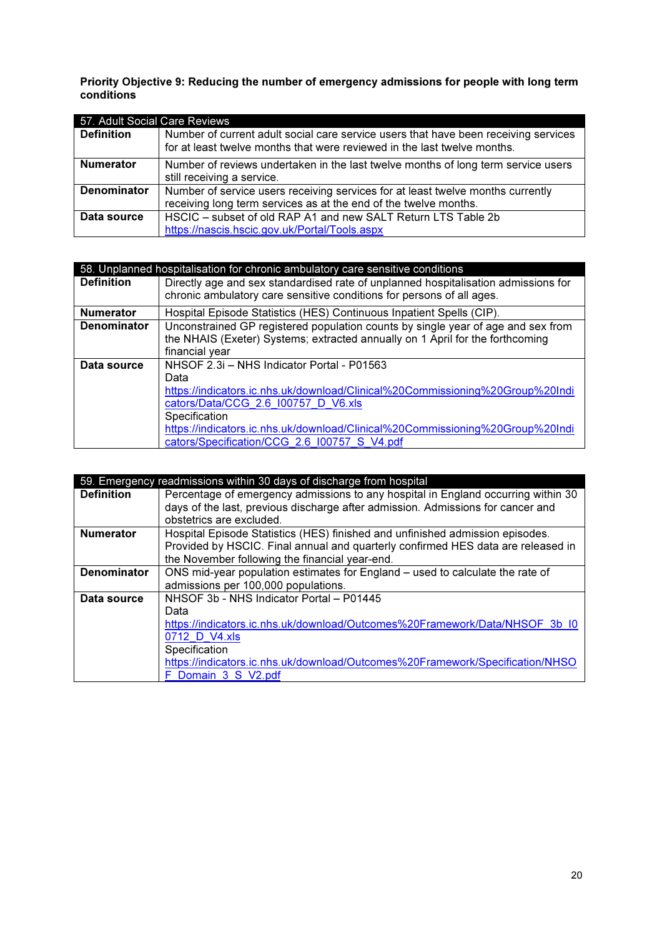Priority Objective 9: Reducing the number of emergency admissions for people with long term conditions

| 57. Adult Social Care Reviews |                                                                                                                                                                 |
|-------------------------------|-----------------------------------------------------------------------------------------------------------------------------------------------------------------|
| <b>Definition</b>             | Number of current adult social care service users that have been receiving services<br>for at least twelve months that were reviewed in the last twelve months. |
| <b>Numerator</b>              | Number of reviews undertaken in the last twelve months of long term service users<br>still receiving a service.                                                 |
| <b>Denominator</b>            | Number of service users receiving services for at least twelve months currently                                                                                 |
|                               | receiving long term services as at the end of the twelve months.                                                                                                |
| Data source                   | HSCIC - subset of old RAP A1 and new SALT Return LTS Table 2b                                                                                                   |
|                               | https://nascis.hscic.gov.uk/Portal/Tools.aspx                                                                                                                   |

|                    | 58. Unplanned hospitalisation for chronic ambulatory care sensitive conditions     |
|--------------------|------------------------------------------------------------------------------------|
| <b>Definition</b>  | Directly age and sex standardised rate of unplanned hospitalisation admissions for |
|                    | chronic ambulatory care sensitive conditions for persons of all ages.              |
| <b>Numerator</b>   | Hospital Episode Statistics (HES) Continuous Inpatient Spells (CIP).               |
| <b>Denominator</b> | Unconstrained GP registered population counts by single year of age and sex from   |
|                    | the NHAIS (Exeter) Systems; extracted annually on 1 April for the forthcoming      |
|                    | financial year                                                                     |
| Data source        | NHSOF 2.3i - NHS Indicator Portal - P01563                                         |
|                    | Data                                                                               |
|                    | https://indicators.ic.nhs.uk/download/Clinical%20Commissioning%20Group%20Indi      |
|                    | cators/Data/CCG 2.6 100757 D V6.xls                                                |
|                    | Specification                                                                      |
|                    | https://indicators.ic.nhs.uk/download/Clinical%20Commissioning%20Group%20Indi      |
|                    | cators/Specification/CCG 2.6 I00757 S V4.pdf                                       |

|                    | 59. Emergency readmissions within 30 days of discharge from hospital              |
|--------------------|-----------------------------------------------------------------------------------|
| <b>Definition</b>  | Percentage of emergency admissions to any hospital in England occurring within 30 |
|                    | days of the last, previous discharge after admission. Admissions for cancer and   |
|                    | obstetrics are excluded.                                                          |
| <b>Numerator</b>   | Hospital Episode Statistics (HES) finished and unfinished admission episodes.     |
|                    | Provided by HSCIC. Final annual and quarterly confirmed HES data are released in  |
|                    | the November following the financial year-end.                                    |
| <b>Denominator</b> | ONS mid-year population estimates for England – used to calculate the rate of     |
|                    | admissions per 100,000 populations.                                               |
| Data source        | NHSOF 3b - NHS Indicator Portal - P01445                                          |
|                    | Data                                                                              |
|                    | https://indicators.ic.nhs.uk/download/Outcomes%20Framework/Data/NHSOF 3b 10       |
|                    | 0712 D V4.xls                                                                     |
|                    | Specification                                                                     |
|                    | https://indicators.ic.nhs.uk/download/Outcomes%20Framework/Specification/NHSO     |
|                    | F Domain 3 S V2.pdf                                                               |